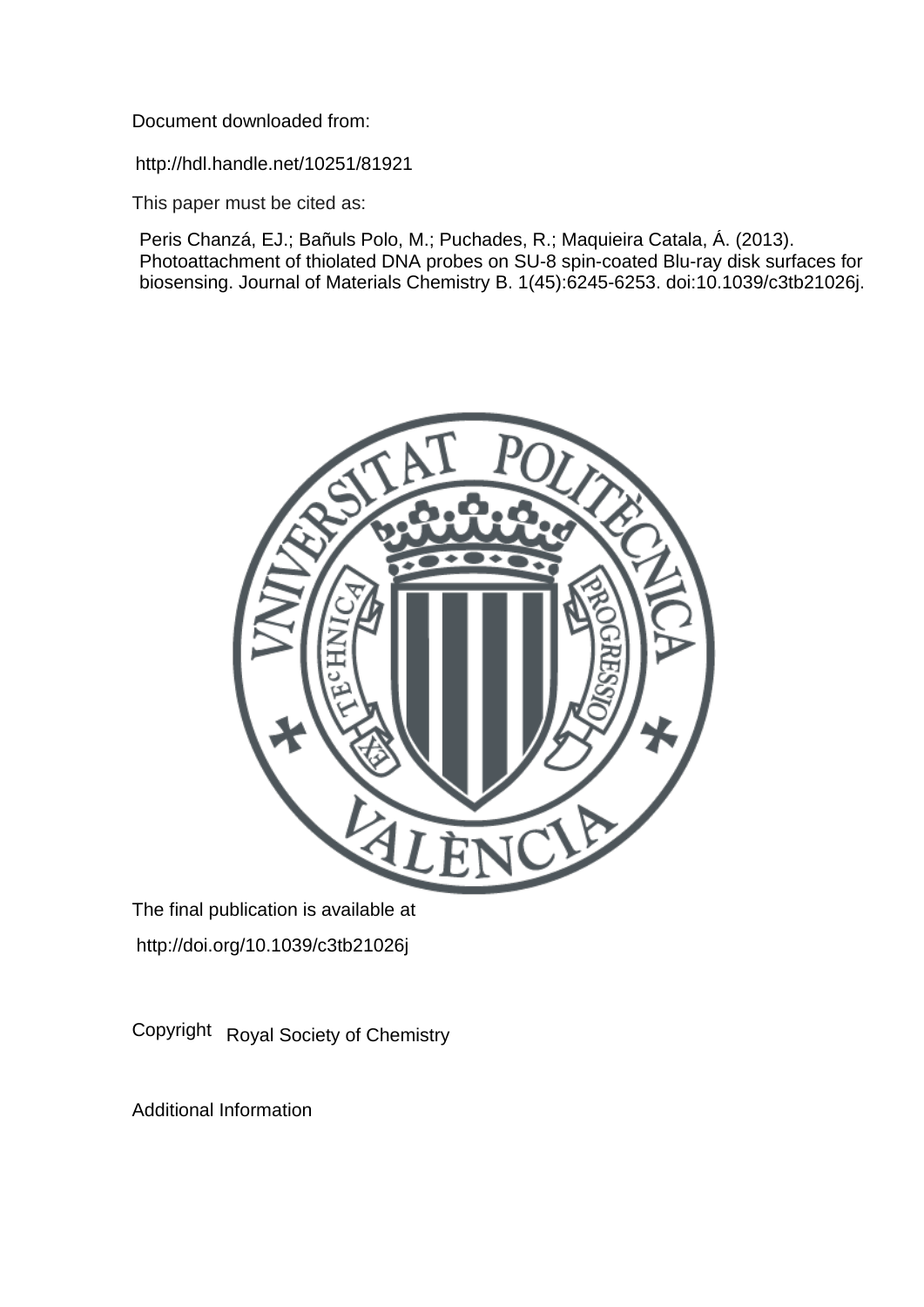Document downloaded from:

http://hdl.handle.net/10251/81921

This paper must be cited as:

Peris Chanzá, EJ.; Bañuls Polo, M.; Puchades, R.; Maquieira Catala, Á. (2013). Photoattachment of thiolated DNA probes on SU-8 spin-coated Blu-ray disk surfaces for biosensing. Journal of Materials Chemistry B. 1(45):6245-6253. doi:10.1039/c3tb21026j.



The final publication is available at http://doi.org/10.1039/c3tb21026j

Copyright Royal Society of Chemistry

Additional Information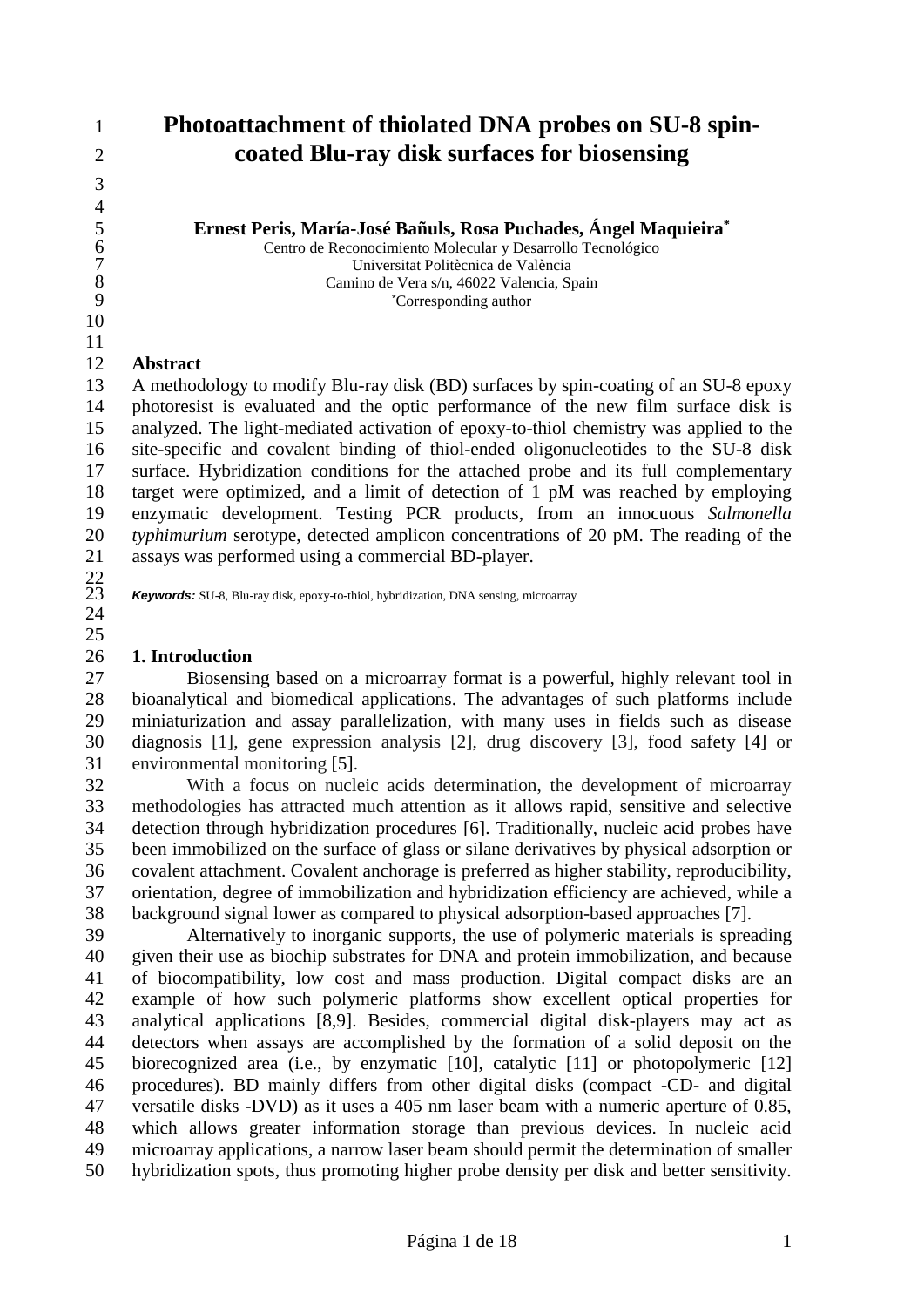# **Photoattachment of thiolated DNA probes on SU-8 spin-coated Blu-ray disk surfaces for biosensing**

**Ernest Peris, María-José Bañuls, Rosa Puchades, Ángel Maquieira<sup>\*</sup><br>
Centro de Reconocimiento Molecular y Desarrollo Tecnológico<br>
Universitat Politècnica de València**  Centro de Reconocimiento Molecular y Desarrollo Tecnológico 7<br>
Universitat Politècnica de València<br>
8<br>
Camino de Vera s/n, 46022 Valencia, S<sub>1</sub><br>
<sup>\*</sup>Corresponding author Camino de Vera s/n, 46022 Valencia, Spain \*Corresponding author

## **Abstract**

 A methodology to modify Blu-ray disk (BD) surfaces by spin-coating of an SU-8 epoxy photoresist is evaluated and the optic performance of the new film surface disk is analyzed. The light-mediated activation of epoxy-to-thiol chemistry was applied to the site-specific and covalent binding of thiol-ended oligonucleotides to the SU-8 disk surface. Hybridization conditions for the attached probe and its full complementary target were optimized, and a limit of detection of 1 pM was reached by employing enzymatic development. Testing PCR products, from an innocuous *Salmonella typhimurium* serotype, detected amplicon concentrations of 20 pM. The reading of the assays was performed using a commercial BD-player.  $\frac{22}{23}$ 

*Keywords:* SU-8, Blu-ray disk, epoxy-to-thiol, hybridization, DNA sensing, microarray

## **1. Introduction**

 Biosensing based on a microarray format is a powerful, highly relevant tool in bioanalytical and biomedical applications. The advantages of such platforms include miniaturization and assay parallelization, with many uses in fields such as disease diagnosis [1], gene expression analysis [2], drug discovery [3], food safety [4] or environmental monitoring [5].

 With a focus on nucleic acids determination, the development of microarray methodologies has attracted much attention as it allows rapid, sensitive and selective detection through hybridization procedures [6]. Traditionally, nucleic acid probes have been immobilized on the surface of glass or silane derivatives by physical adsorption or covalent attachment. Covalent anchorage is preferred as higher stability, reproducibility, orientation, degree of immobilization and hybridization efficiency are achieved, while a background signal lower as compared to physical adsorption-based approaches [7].

 Alternatively to inorganic supports, the use of polymeric materials is spreading given their use as biochip substrates for DNA and protein immobilization, and because of biocompatibility, low cost and mass production. Digital compact disks are an example of how such polymeric platforms show excellent optical properties for analytical applications [8,9]. Besides, commercial digital disk-players may act as detectors when assays are accomplished by the formation of a solid deposit on the biorecognized area (i.e., by enzymatic [10], catalytic [11] or photopolymeric [12] procedures). BD mainly differs from other digital disks (compact -CD- and digital versatile disks -DVD) as it uses a 405 nm laser beam with a numeric aperture of 0.85, which allows greater information storage than previous devices. In nucleic acid microarray applications, a narrow laser beam should permit the determination of smaller hybridization spots, thus promoting higher probe density per disk and better sensitivity.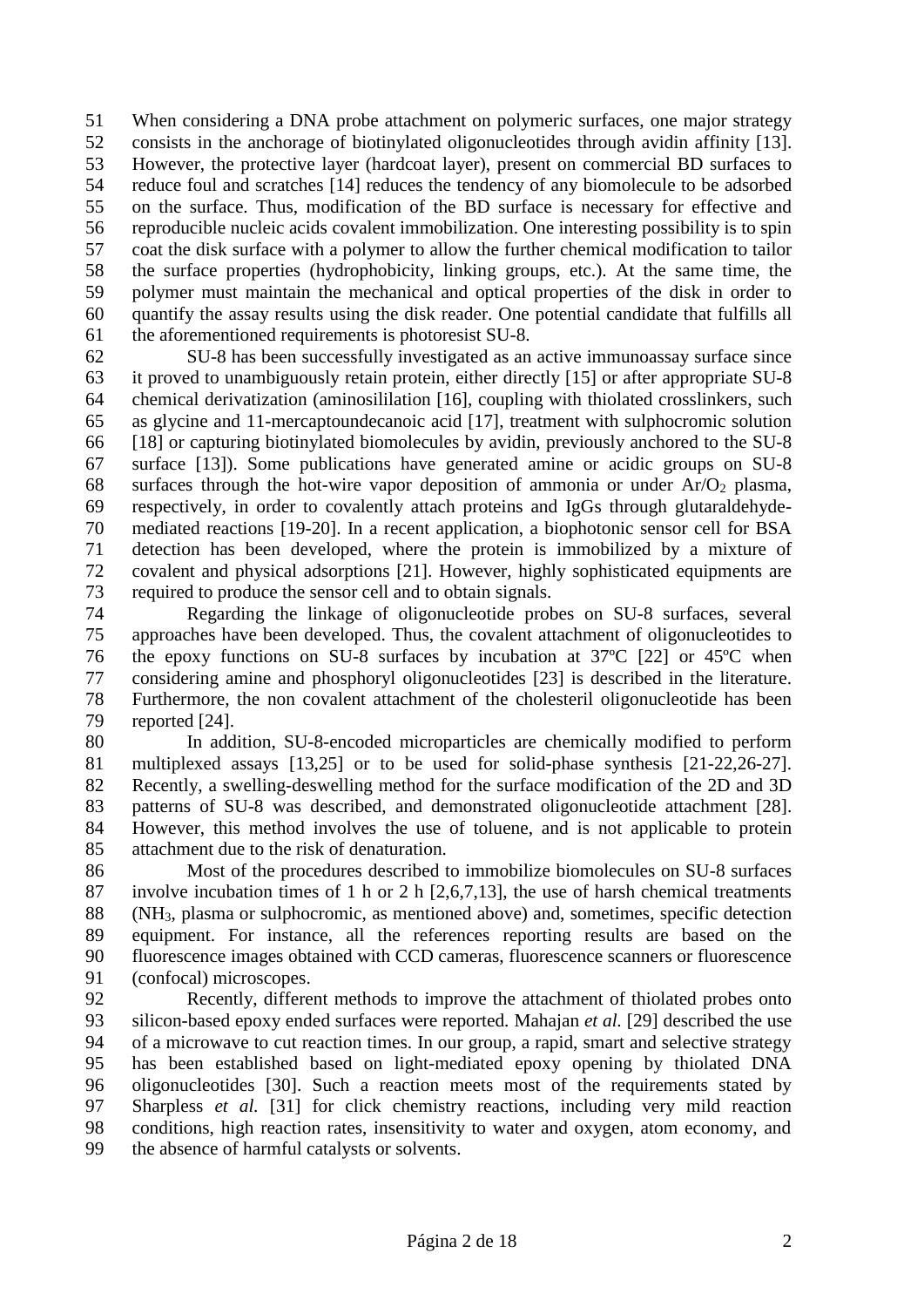When considering a DNA probe attachment on polymeric surfaces, one major strategy consists in the anchorage of biotinylated oligonucleotides through avidin affinity [13]. However, the protective layer (hardcoat layer), present on commercial BD surfaces to reduce foul and scratches [14] reduces the tendency of any biomolecule to be adsorbed on the surface. Thus, modification of the BD surface is necessary for effective and reproducible nucleic acids covalent immobilization. One interesting possibility is to spin coat the disk surface with a polymer to allow the further chemical modification to tailor the surface properties (hydrophobicity, linking groups, etc.). At the same time, the polymer must maintain the mechanical and optical properties of the disk in order to quantify the assay results using the disk reader. One potential candidate that fulfills all the aforementioned requirements is photoresist SU-8.

 SU-8 has been successfully investigated as an active immunoassay surface since it proved to unambiguously retain protein, either directly [15] or after appropriate SU-8 chemical derivatization (aminosililation [16], coupling with thiolated crosslinkers, such as glycine and 11-mercaptoundecanoic acid [17], treatment with sulphocromic solution [18] or capturing biotinylated biomolecules by avidin, previously anchored to the SU-8 surface [13]). Some publications have generated amine or acidic groups on SU-8 68 surfaces through the hot-wire vapor deposition of ammonia or under  $Ar/O<sub>2</sub>$  plasma, respectively, in order to covalently attach proteins and IgGs through glutaraldehyde- mediated reactions [19-20]. In a recent application, a biophotonic sensor cell for BSA detection has been developed, where the protein is immobilized by a mixture of covalent and physical adsorptions [21]. However, highly sophisticated equipments are required to produce the sensor cell and to obtain signals.

 Regarding the linkage of oligonucleotide probes on SU-8 surfaces, several approaches have been developed. Thus, the covalent attachment of oligonucleotides to the epoxy functions on SU-8 surfaces by incubation at 37ºC [22] or 45ºC when considering amine and phosphoryl oligonucleotides [23] is described in the literature. Furthermore, the non covalent attachment of the cholesteril oligonucleotide has been reported [24].

 In addition, SU-8-encoded microparticles are chemically modified to perform multiplexed assays [13,25] or to be used for solid-phase synthesis [21-22,26-27]. Recently, a swelling-deswelling method for the surface modification of the 2D and 3D patterns of SU-8 was described, and demonstrated oligonucleotide attachment [28]. However, this method involves the use of toluene, and is not applicable to protein attachment due to the risk of denaturation.

 Most of the procedures described to immobilize biomolecules on SU-8 surfaces involve incubation times of 1 h or 2 h [2,6,7,13], the use of harsh chemical treatments (NH3, plasma or sulphocromic, as mentioned above) and, sometimes, specific detection equipment. For instance, all the references reporting results are based on the fluorescence images obtained with CCD cameras, fluorescence scanners or fluorescence (confocal) microscopes.

 Recently, different methods to improve the attachment of thiolated probes onto silicon-based epoxy ended surfaces were reported. Mahajan *et al.* [29] described the use of a microwave to cut reaction times. In our group, a rapid, smart and selective strategy has been established based on light-mediated epoxy opening by thiolated DNA oligonucleotides [30]. Such a reaction meets most of the requirements stated by Sharpless *et al.* [31] for click chemistry reactions, including very mild reaction conditions, high reaction rates, insensitivity to water and oxygen, atom economy, and the absence of harmful catalysts or solvents.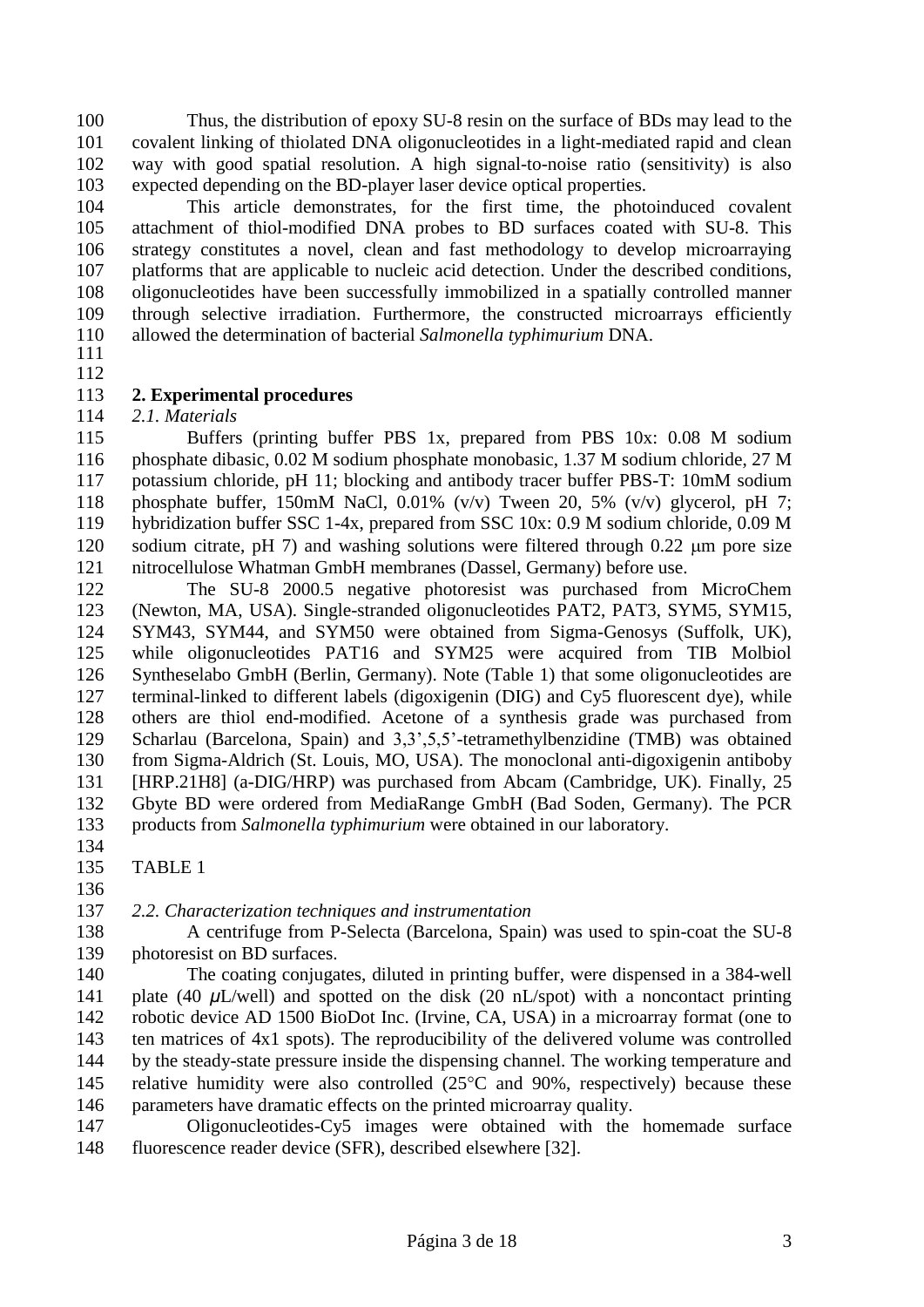Thus, the distribution of epoxy SU-8 resin on the surface of BDs may lead to the covalent linking of thiolated DNA oligonucleotides in a light-mediated rapid and clean way with good spatial resolution. A high signal-to-noise ratio (sensitivity) is also expected depending on the BD-player laser device optical properties.

 This article demonstrates, for the first time, the photoinduced covalent attachment of thiol-modified DNA probes to BD surfaces coated with SU-8. This strategy constitutes a novel, clean and fast methodology to develop microarraying platforms that are applicable to nucleic acid detection. Under the described conditions, oligonucleotides have been successfully immobilized in a spatially controlled manner through selective irradiation. Furthermore, the constructed microarrays efficiently allowed the determination of bacterial *Salmonella typhimurium* DNA.

 

## **2. Experimental procedures**

#### *2.1. Materials*

 Buffers (printing buffer PBS 1x, prepared from PBS 10x: 0.08 M sodium phosphate dibasic, 0.02 M sodium phosphate monobasic, 1.37 M sodium chloride, 27 M potassium chloride, pH 11; blocking and antibody tracer buffer PBS-T: 10mM sodium phosphate buffer, 150mM NaCl, 0.01% (v/v) Tween 20, 5% (v/v) glycerol, pH 7; hybridization buffer SSC 1-4x, prepared from SSC 10x: 0.9 M sodium chloride, 0.09 M 120 sodium citrate, pH 7) and washing solutions were filtered through  $0.22 \mu m$  pore size nitrocellulose Whatman GmbH membranes (Dassel, Germany) before use.

 The SU-8 2000.5 negative photoresist was purchased from MicroChem (Newton, MA, USA). Single-stranded oligonucleotides PAT2, PAT3, SYM5, SYM15, SYM43, SYM44, and SYM50 were obtained from Sigma-Genosys (Suffolk, UK), while oligonucleotides PAT16 and SYM25 were acquired from TIB Molbiol Syntheselabo GmbH (Berlin, Germany). Note (Table 1) that some oligonucleotides are terminal-linked to different labels (digoxigenin (DIG) and Cy5 fluorescent dye), while others are thiol end-modified. Acetone of a synthesis grade was purchased from Scharlau (Barcelona, Spain) and 3,3',5,5'-tetramethylbenzidine (TMB) was obtained from Sigma-Aldrich (St. Louis, MO, USA). The monoclonal anti-digoxigenin antiboby [HRP.21H8] (a-DIG/HRP) was purchased from Abcam (Cambridge, UK). Finally, 25 Gbyte BD were ordered from MediaRange GmbH (Bad Soden, Germany). The PCR products from *Salmonella typhimurium* were obtained in our laboratory.

 TABLE 1 

## *2.2. Characterization techniques and instrumentation*

 A centrifuge from P-Selecta (Barcelona, Spain) was used to spin-coat the SU-8 139 photoresist on BD surfaces.

 The coating conjugates, diluted in printing buffer, were dispensed in a 384-well 141 plate (40 *μL*/well) and spotted on the disk (20 nL/spot) with a noncontact printing robotic device AD 1500 BioDot Inc. (Irvine, CA, USA) in a microarray format (one to ten matrices of 4x1 spots). The reproducibility of the delivered volume was controlled by the steady-state pressure inside the dispensing channel. The working temperature and 145 relative humidity were also controlled  $(25^{\circ}C \text{ and } 90\%$ , respectively) because these parameters have dramatic effects on the printed microarray quality.

 Oligonucleotides-Cy5 images were obtained with the homemade surface fluorescence reader device (SFR), described elsewhere [32].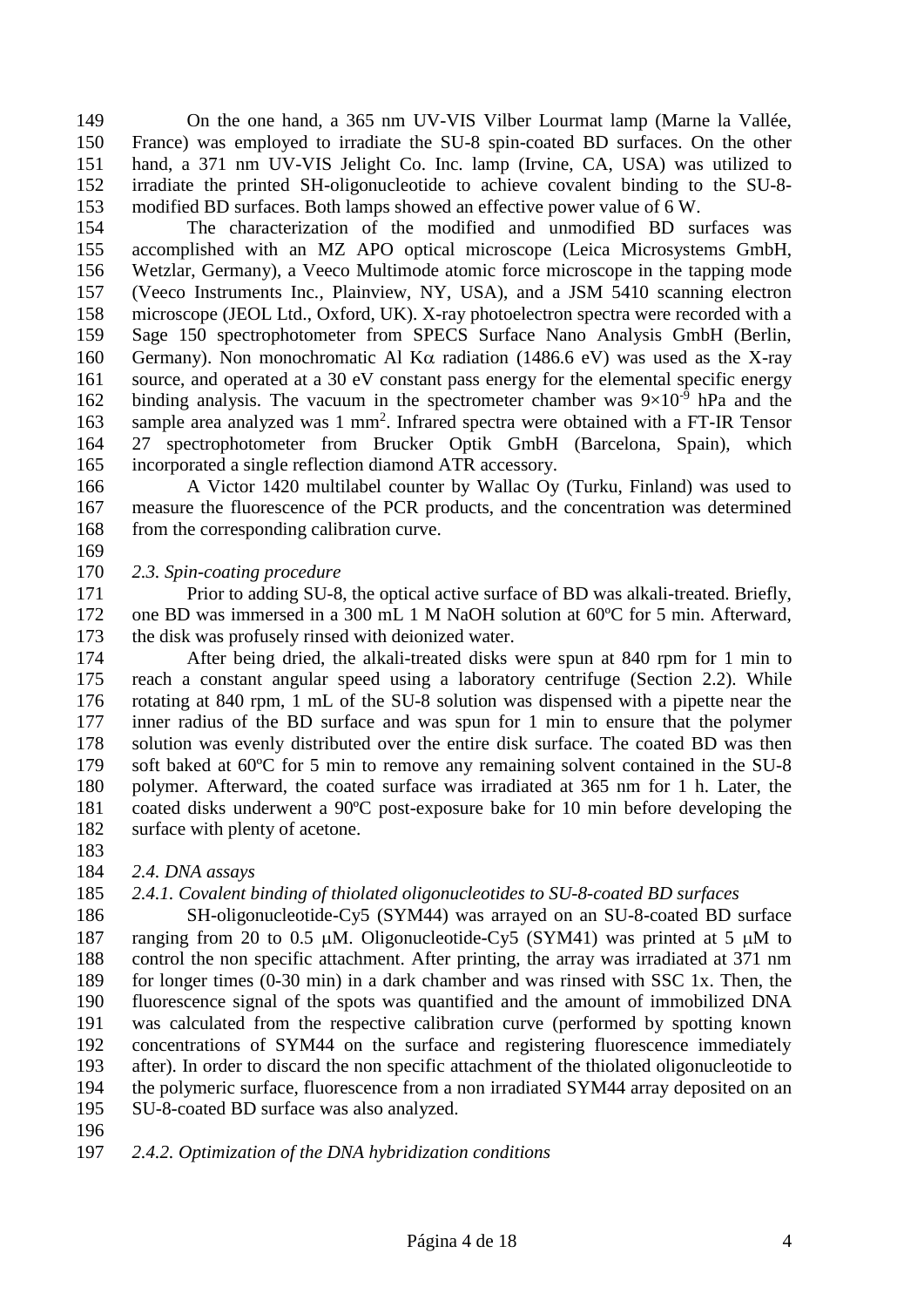On the one hand, a 365 nm UV-VIS Vilber Lourmat lamp (Marne la Vallée, France) was employed to irradiate the SU-8 spin-coated BD surfaces. On the other hand, a 371 nm UV-VIS Jelight Co. Inc. lamp (Irvine, CA, USA) was utilized to irradiate the printed SH-oligonucleotide to achieve covalent binding to the SU-8- modified BD surfaces. Both lamps showed an effective power value of 6 W.

 The characterization of the modified and unmodified BD surfaces was accomplished with an MZ APO optical microscope (Leica Microsystems GmbH, Wetzlar, Germany), a Veeco Multimode atomic force microscope in the tapping mode (Veeco Instruments Inc., Plainview, NY, USA), and a JSM 5410 scanning electron microscope (JEOL Ltd., Oxford, UK). X-ray photoelectron spectra were recorded with a Sage 150 spectrophotometer from SPECS Surface Nano Analysis GmbH (Berlin, 160 Germany). Non monochromatic Al K $\alpha$  radiation (1486.6 eV) was used as the X-ray source, and operated at a 30 eV constant pass energy for the elemental specific energy 162 binding analysis. The vacuum in the spectrometer chamber was  $9\times10^{-9}$  hPa and the 163 sample area analyzed was 1 mm<sup>2</sup>. Infrared spectra were obtained with a FT-IR Tensor 27 spectrophotometer from Brucker Optik GmbH (Barcelona, Spain), which incorporated a single reflection diamond ATR accessory.

 A Victor 1420 multilabel counter by Wallac Oy (Turku, Finland) was used to measure the fluorescence of the PCR products, and the concentration was determined from the corresponding calibration curve.

## *2.3. Spin-coating procedure*

 Prior to adding SU-8, the optical active surface of BD was alkali-treated. Briefly, one BD was immersed in a 300 mL 1 M NaOH solution at 60ºC for 5 min. Afterward, the disk was profusely rinsed with deionized water.

 After being dried, the alkali-treated disks were spun at 840 rpm for 1 min to reach a constant angular speed using a laboratory centrifuge (Section 2.2). While rotating at 840 rpm, 1 mL of the SU-8 solution was dispensed with a pipette near the inner radius of the BD surface and was spun for 1 min to ensure that the polymer solution was evenly distributed over the entire disk surface. The coated BD was then soft baked at 60ºC for 5 min to remove any remaining solvent contained in the SU-8 polymer. Afterward, the coated surface was irradiated at 365 nm for 1 h. Later, the coated disks underwent a 90ºC post-exposure bake for 10 min before developing the 182 surface with plenty of acetone.

*2.4. DNA assays*

## *2.4.1. Covalent binding of thiolated oligonucleotides to SU-8-coated BD surfaces*

 SH-oligonucleotide-Cy5 (SYM44) was arrayed on an SU-8-coated BD surface 187 ranging from 20 to 0.5  $\mu$ M. Oligonucleotide-Cy5 (SYM41) was printed at 5  $\mu$ M to control the non specific attachment. After printing, the array was irradiated at 371 nm for longer times (0-30 min) in a dark chamber and was rinsed with SSC 1x. Then, the fluorescence signal of the spots was quantified and the amount of immobilized DNA was calculated from the respective calibration curve (performed by spotting known concentrations of SYM44 on the surface and registering fluorescence immediately after). In order to discard the non specific attachment of the thiolated oligonucleotide to the polymeric surface, fluorescence from a non irradiated SYM44 array deposited on an SU-8-coated BD surface was also analyzed.

*2.4.2. Optimization of the DNA hybridization conditions*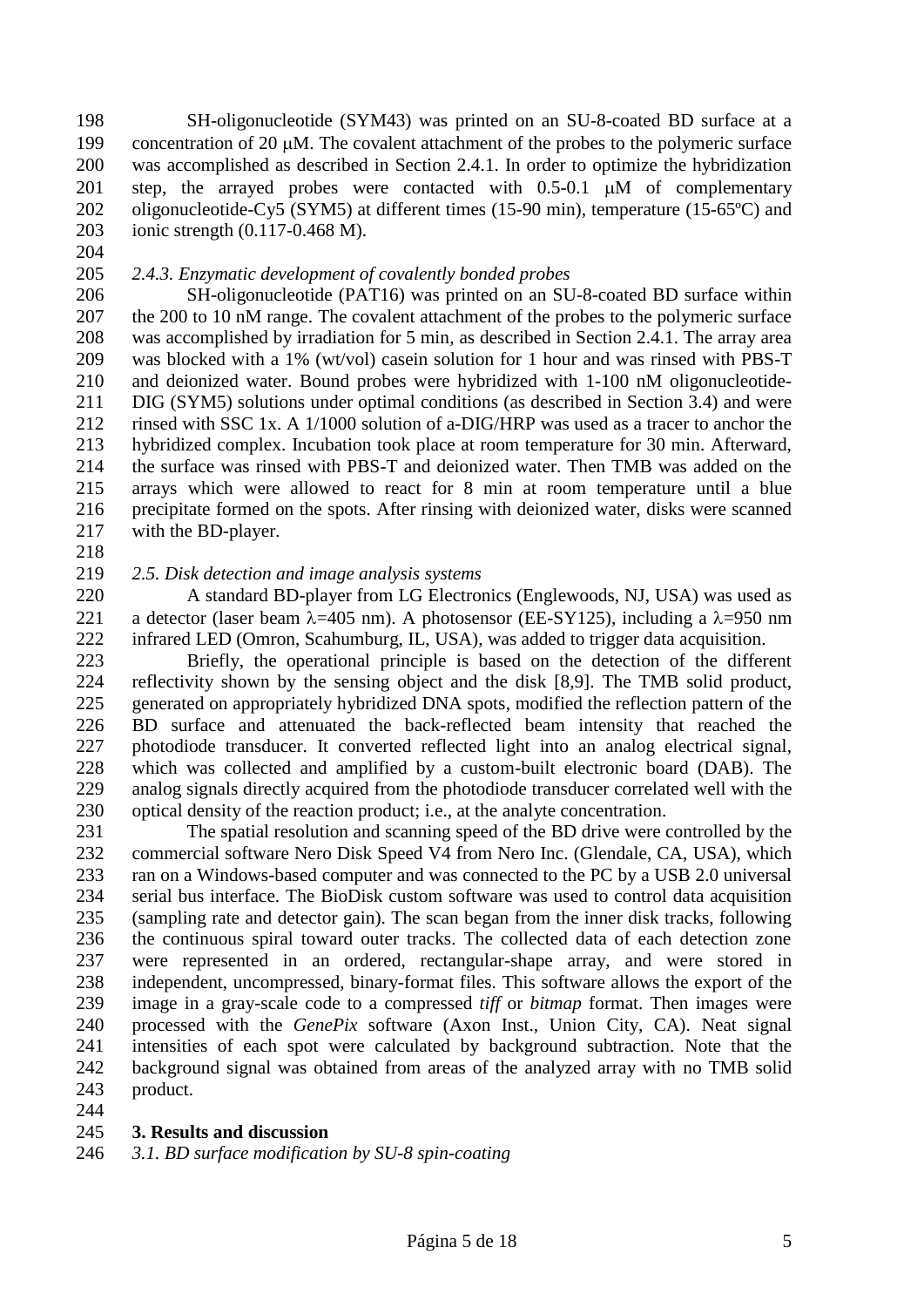SH-oligonucleotide (SYM43) was printed on an SU-8-coated BD surface at a 199 concentration of 20  $\mu$ M. The covalent attachment of the probes to the polymeric surface was accomplished as described in Section 2.4.1. In order to optimize the hybridization 201 step, the arrayed probes were contacted with  $0.5-0.1$   $\mu$ M of complementary oligonucleotide-Cy5 (SYM5) at different times (15-90 min), temperature (15-65ºC) and ionic strength (0.117-0.468 M).

- 
- 

## *2.4.3. Enzymatic development of covalently bonded probes*

 SH-oligonucleotide (PAT16) was printed on an SU-8-coated BD surface within 207 the 200 to 10 nM range. The covalent attachment of the probes to the polymeric surface was accomplished by irradiation for 5 min, as described in Section 2.4.1. The array area was blocked with a 1% (wt/vol) casein solution for 1 hour and was rinsed with PBS-T and deionized water. Bound probes were hybridized with 1-100 nM oligonucleotide- DIG (SYM5) solutions under optimal conditions (as described in Section 3.4) and were rinsed with SSC 1x. A 1/1000 solution of a-DIG/HRP was used as a tracer to anchor the hybridized complex. Incubation took place at room temperature for 30 min. Afterward, the surface was rinsed with PBS-T and deionized water. Then TMB was added on the arrays which were allowed to react for 8 min at room temperature until a blue precipitate formed on the spots. After rinsing with deionized water, disks were scanned with the BD-player.

## *2.5. Disk detection and image analysis systems*

 A standard BD-player from LG Electronics (Englewoods, NJ, USA) was used as 221 a detector (laser beam  $\lambda$ =405 nm). A photosensor (EE-SY125), including a  $\lambda$ =950 nm infrared LED (Omron, Scahumburg, IL, USA), was added to trigger data acquisition.

 Briefly, the operational principle is based on the detection of the different reflectivity shown by the sensing object and the disk [8,9]. The TMB solid product, generated on appropriately hybridized DNA spots, modified the reflection pattern of the BD surface and attenuated the back-reflected beam intensity that reached the photodiode transducer. It converted reflected light into an analog electrical signal, which was collected and amplified by a custom-built electronic board (DAB). The analog signals directly acquired from the photodiode transducer correlated well with the optical density of the reaction product; i.e., at the analyte concentration.

 The spatial resolution and scanning speed of the BD drive were controlled by the commercial software Nero Disk Speed V4 from Nero Inc. (Glendale, CA, USA), which ran on a Windows-based computer and was connected to the PC by a USB 2.0 universal serial bus interface. The BioDisk custom software was used to control data acquisition (sampling rate and detector gain). The scan began from the inner disk tracks, following the continuous spiral toward outer tracks. The collected data of each detection zone were represented in an ordered, rectangular-shape array, and were stored in independent, uncompressed, binary-format files. This software allows the export of the image in a gray-scale code to a compressed *tiff* or *bitmap* format. Then images were processed with the *GenePix* software (Axon Inst., Union City, CA). Neat signal intensities of each spot were calculated by background subtraction. Note that the background signal was obtained from areas of the analyzed array with no TMB solid product.

## **3. Results and discussion**

*3.1. BD surface modification by SU-8 spin-coating*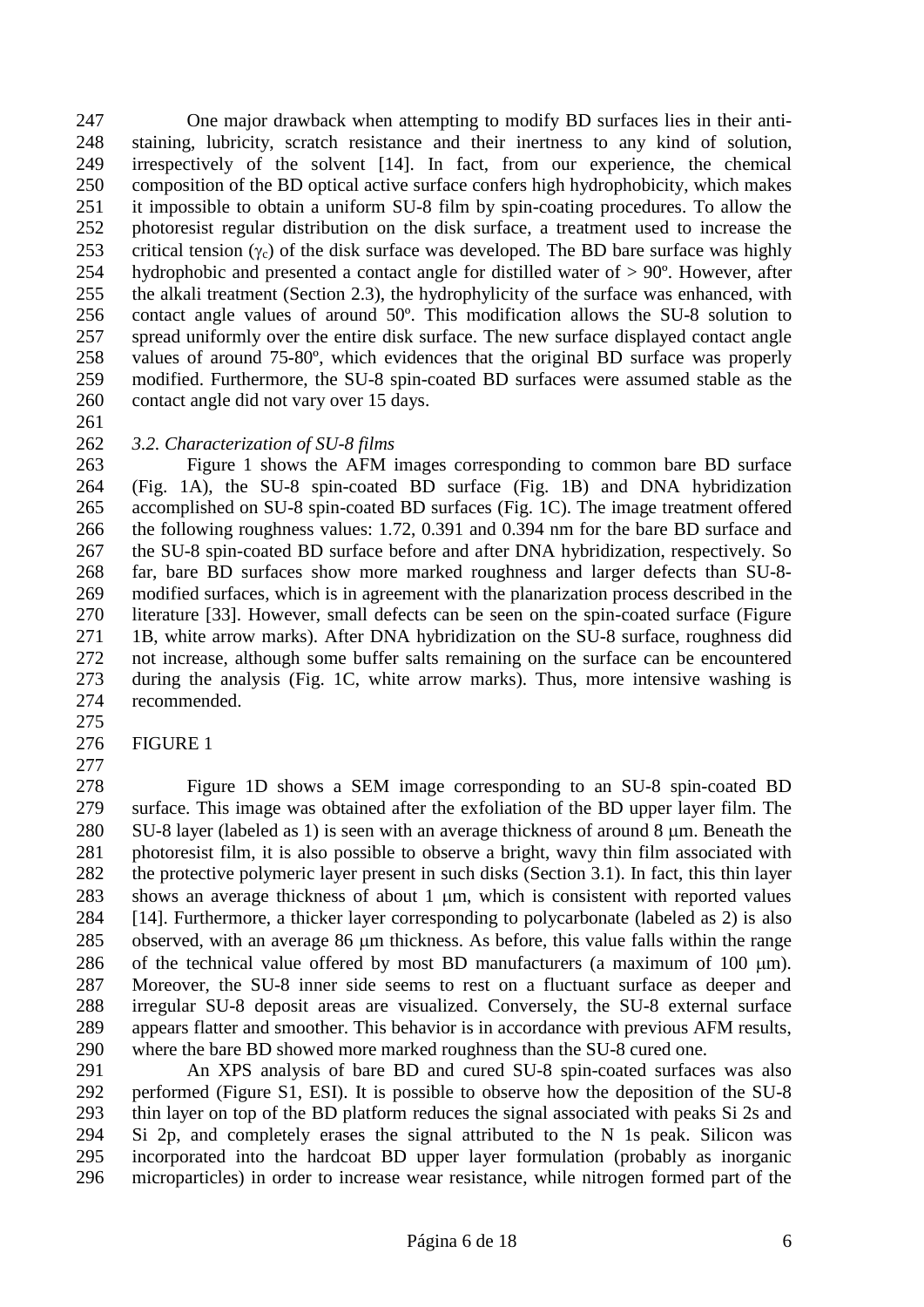One major drawback when attempting to modify BD surfaces lies in their anti- staining, lubricity, scratch resistance and their inertness to any kind of solution, irrespectively of the solvent [14]. In fact, from our experience, the chemical composition of the BD optical active surface confers high hydrophobicity, which makes it impossible to obtain a uniform SU-8 film by spin-coating procedures. To allow the photoresist regular distribution on the disk surface, a treatment used to increase the 253 critical tension  $(y_c)$  of the disk surface was developed. The BD bare surface was highly 254 hydrophobic and presented a contact angle for distilled water of  $> 90^\circ$ . However, after the alkali treatment (Section 2.3), the hydrophylicity of the surface was enhanced, with contact angle values of around 50º. This modification allows the SU-8 solution to spread uniformly over the entire disk surface. The new surface displayed contact angle values of around 75-80º, which evidences that the original BD surface was properly modified. Furthermore, the SU-8 spin-coated BD surfaces were assumed stable as the contact angle did not vary over 15 days.

## *3.2. Characterization of SU-8 films*

 Figure 1 shows the AFM images corresponding to common bare BD surface (Fig. 1A), the SU-8 spin-coated BD surface (Fig. 1B) and DNA hybridization accomplished on SU-8 spin-coated BD surfaces (Fig. 1C). The image treatment offered the following roughness values: 1.72, 0.391 and 0.394 nm for the bare BD surface and the SU-8 spin-coated BD surface before and after DNA hybridization, respectively. So far, bare BD surfaces show more marked roughness and larger defects than SU-8- modified surfaces, which is in agreement with the planarization process described in the literature [33]. However, small defects can be seen on the spin-coated surface (Figure 1B, white arrow marks). After DNA hybridization on the SU-8 surface, roughness did not increase, although some buffer salts remaining on the surface can be encountered during the analysis (Fig. 1C, white arrow marks). Thus, more intensive washing is recommended.

FIGURE 1

 Figure 1D shows a SEM image corresponding to an SU-8 spin-coated BD surface. This image was obtained after the exfoliation of the BD upper layer film. The 280 SU-8 layer (labeled as 1) is seen with an average thickness of around 8 µm. Beneath the photoresist film, it is also possible to observe a bright, wavy thin film associated with the protective polymeric layer present in such disks (Section 3.1). In fact, this thin layer 283 shows an average thickness of about 1 um, which is consistent with reported values [14]. Furthermore, a thicker layer corresponding to polycarbonate (labeled as 2) is also 285 observed, with an average 86 µm thickness. As before, this value falls within the range 286 of the technical value offered by most BD manufacturers (a maximum of 100  $\mu$ m). Moreover, the SU-8 inner side seems to rest on a fluctuant surface as deeper and irregular SU-8 deposit areas are visualized. Conversely, the SU-8 external surface appears flatter and smoother. This behavior is in accordance with previous AFM results, where the bare BD showed more marked roughness than the SU-8 cured one.

 An XPS analysis of bare BD and cured SU-8 spin-coated surfaces was also performed (Figure S1, ESI). It is possible to observe how the deposition of the SU-8 thin layer on top of the BD platform reduces the signal associated with peaks Si 2s and Si 2p, and completely erases the signal attributed to the N 1s peak. Silicon was incorporated into the hardcoat BD upper layer formulation (probably as inorganic microparticles) in order to increase wear resistance, while nitrogen formed part of the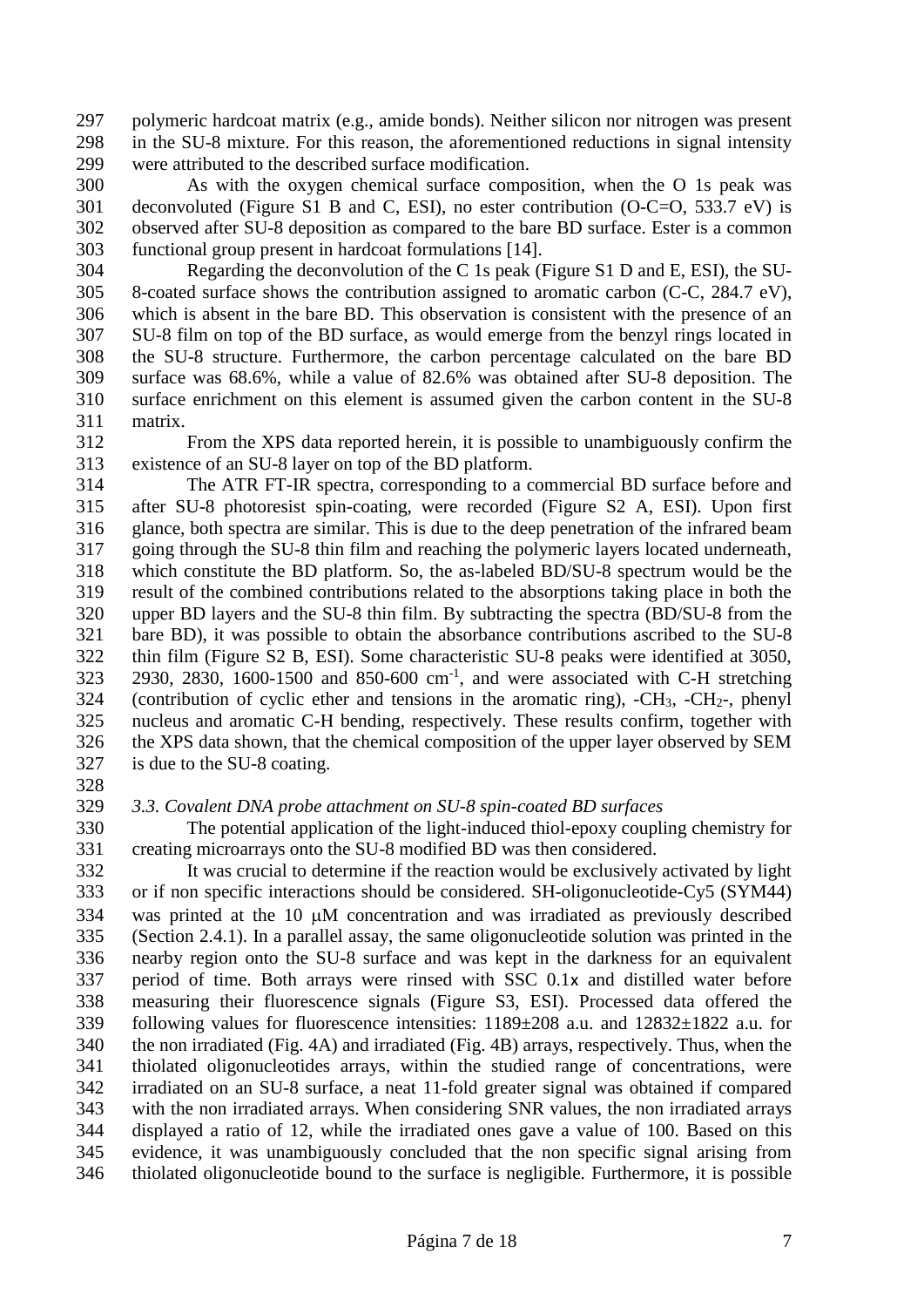polymeric hardcoat matrix (e.g., amide bonds). Neither silicon nor nitrogen was present in the SU-8 mixture. For this reason, the aforementioned reductions in signal intensity were attributed to the described surface modification.

 As with the oxygen chemical surface composition, when the O 1s peak was deconvoluted (Figure S1 B and C, ESI), no ester contribution (O-C=O, 533.7 eV) is observed after SU-8 deposition as compared to the bare BD surface. Ester is a common functional group present in hardcoat formulations [14].

 Regarding the deconvolution of the C 1s peak (Figure S1 D and E, ESI), the SU- 8-coated surface shows the contribution assigned to aromatic carbon (C-C, 284.7 eV), which is absent in the bare BD. This observation is consistent with the presence of an SU-8 film on top of the BD surface, as would emerge from the benzyl rings located in the SU-8 structure. Furthermore, the carbon percentage calculated on the bare BD surface was 68.6%, while a value of 82.6% was obtained after SU-8 deposition. The surface enrichment on this element is assumed given the carbon content in the SU-8 matrix.

 From the XPS data reported herein, it is possible to unambiguously confirm the existence of an SU-8 layer on top of the BD platform.

 The ATR FT-IR spectra, corresponding to a commercial BD surface before and after SU-8 photoresist spin-coating, were recorded (Figure S2 A, ESI). Upon first glance, both spectra are similar. This is due to the deep penetration of the infrared beam going through the SU-8 thin film and reaching the polymeric layers located underneath, which constitute the BD platform. So, the as-labeled BD/SU-8 spectrum would be the result of the combined contributions related to the absorptions taking place in both the upper BD layers and the SU-8 thin film. By subtracting the spectra (BD/SU-8 from the bare BD), it was possible to obtain the absorbance contributions ascribed to the SU-8 thin film (Figure S2 B, ESI). Some characteristic SU-8 peaks were identified at 3050, ,  $2830$ ,  $1600-1500$  and  $850-600$  cm<sup>-1</sup>, and were associated with C-H stretching (contribution of cyclic ether and tensions in the aromatic ring),  $-CH_3$ ,  $-CH_2$ -, phenyl nucleus and aromatic C-H bending, respectively. These results confirm, together with the XPS data shown, that the chemical composition of the upper layer observed by SEM is due to the SU-8 coating.

## *3.3. Covalent DNA probe attachment on SU-8 spin-coated BD surfaces*

 The potential application of the light-induced thiol-epoxy coupling chemistry for creating microarrays onto the SU-8 modified BD was then considered.

 It was crucial to determine if the reaction would be exclusively activated by light or if non specific interactions should be considered. SH-oligonucleotide-Cy5 (SYM44) 334 was printed at the 10 uM concentration and was irradiated as previously described (Section 2.4.1). In a parallel assay, the same oligonucleotide solution was printed in the nearby region onto the SU-8 surface and was kept in the darkness for an equivalent period of time. Both arrays were rinsed with SSC 0.1х and distilled water before measuring their fluorescence signals (Figure S3, ESI). Processed data offered the following values for fluorescence intensities: 1189±208 a.u. and 12832±1822 a.u. for the non irradiated (Fig. 4A) and irradiated (Fig. 4B) arrays, respectively. Thus, when the thiolated oligonucleotides arrays, within the studied range of concentrations, were irradiated on an SU-8 surface, a neat 11-fold greater signal was obtained if compared with the non irradiated arrays. When considering SNR values, the non irradiated arrays displayed a ratio of 12, while the irradiated ones gave a value of 100. Based on this evidence, it was unambiguously concluded that the non specific signal arising from thiolated oligonucleotide bound to the surface is negligible. Furthermore, it is possible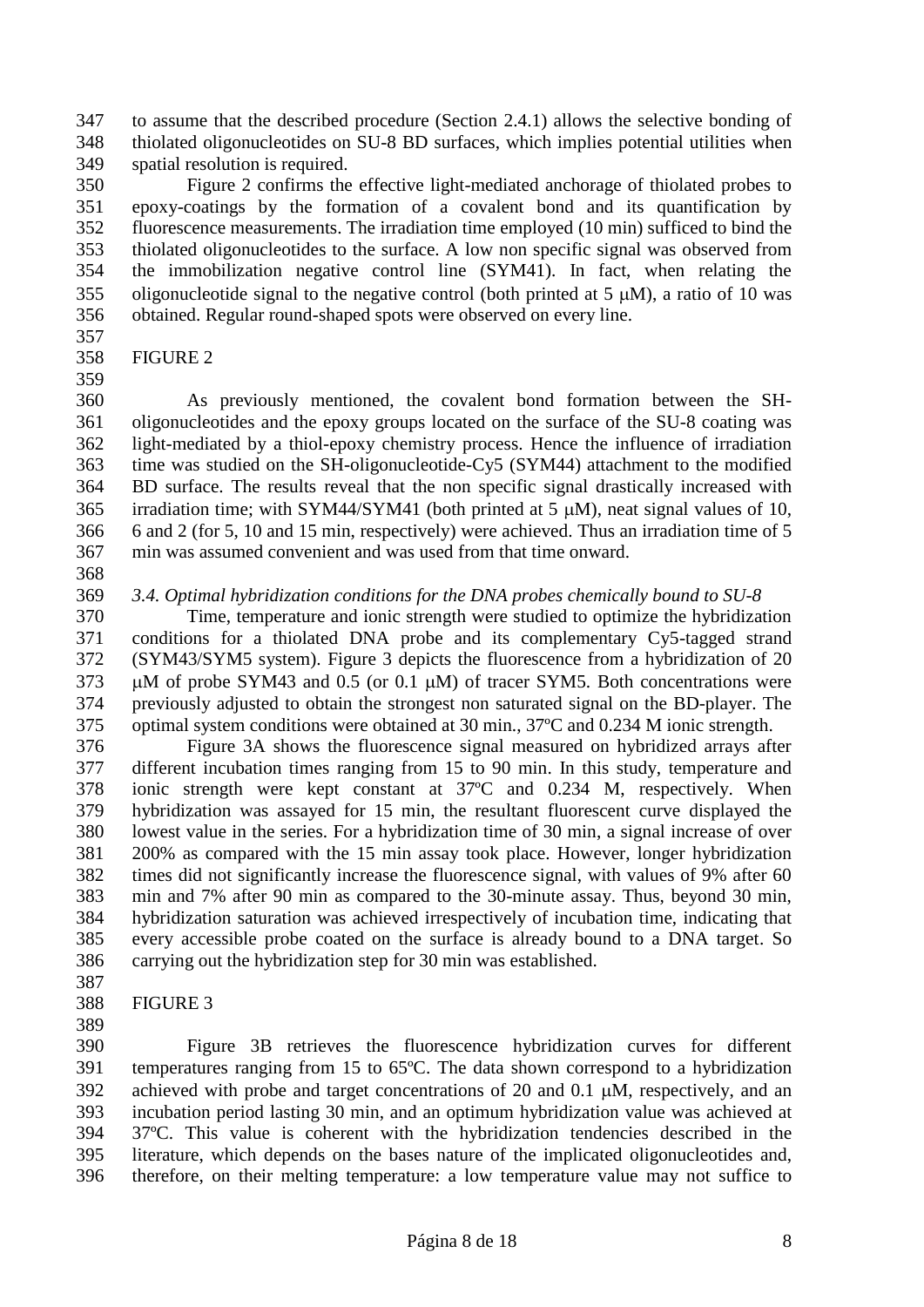to assume that the described procedure (Section 2.4.1) allows the selective bonding of thiolated oligonucleotides on SU-8 BD surfaces, which implies potential utilities when spatial resolution is required.

 Figure 2 confirms the effective light-mediated anchorage of thiolated probes to epoxy-coatings by the formation of a covalent bond and its quantification by fluorescence measurements. The irradiation time employed (10 min) sufficed to bind the thiolated oligonucleotides to the surface. A low non specific signal was observed from the immobilization negative control line (SYM41). In fact, when relating the 355 oligonucleotide signal to the negative control (both printed at  $5 \mu M$ ), a ratio of 10 was obtained. Regular round-shaped spots were observed on every line.

- 
- FIGURE 2

 As previously mentioned, the covalent bond formation between the SH- oligonucleotides and the epoxy groups located on the surface of the SU-8 coating was light-mediated by a thiol-epoxy chemistry process. Hence the influence of irradiation time was studied on the SH-oligonucleotide-Cy5 (SYM44) attachment to the modified BD surface. The results reveal that the non specific signal drastically increased with 365 irradiation time; with SYM44/SYM41 (both printed at  $5 \mu$ M), neat signal values of 10, 6 and 2 (for 5, 10 and 15 min, respectively) were achieved. Thus an irradiation time of 5 min was assumed convenient and was used from that time onward.

#### *3.4. Optimal hybridization conditions for the DNA probes chemically bound to SU-8*

 Time, temperature and ionic strength were studied to optimize the hybridization conditions for a thiolated DNA probe and its complementary Cy5-tagged strand (SYM43/SYM5 system). Figure 3 depicts the fluorescence from a hybridization of 20  $\mu$ M of probe SYM43 and 0.5 (or 0.1  $\mu$ M) of tracer SYM5. Both concentrations were previously adjusted to obtain the strongest non saturated signal on the BD-player. The optimal system conditions were obtained at 30 min., 37ºC and 0.234 M ionic strength.

 Figure 3A shows the fluorescence signal measured on hybridized arrays after different incubation times ranging from 15 to 90 min. In this study, temperature and ionic strength were kept constant at 37ºC and 0.234 M, respectively. When hybridization was assayed for 15 min, the resultant fluorescent curve displayed the lowest value in the series. For a hybridization time of 30 min, a signal increase of over 200% as compared with the 15 min assay took place. However, longer hybridization times did not significantly increase the fluorescence signal, with values of 9% after 60 min and 7% after 90 min as compared to the 30-minute assay. Thus, beyond 30 min, hybridization saturation was achieved irrespectively of incubation time, indicating that every accessible probe coated on the surface is already bound to a DNA target. So carrying out the hybridization step for 30 min was established.

- FIGURE 3
- 

 Figure 3B retrieves the fluorescence hybridization curves for different temperatures ranging from 15 to 65ºC. The data shown correspond to a hybridization 392 achieved with probe and target concentrations of 20 and 0.1  $\mu$ M, respectively, and an incubation period lasting 30 min, and an optimum hybridization value was achieved at 37ºC. This value is coherent with the hybridization tendencies described in the literature, which depends on the bases nature of the implicated oligonucleotides and, therefore, on their melting temperature: a low temperature value may not suffice to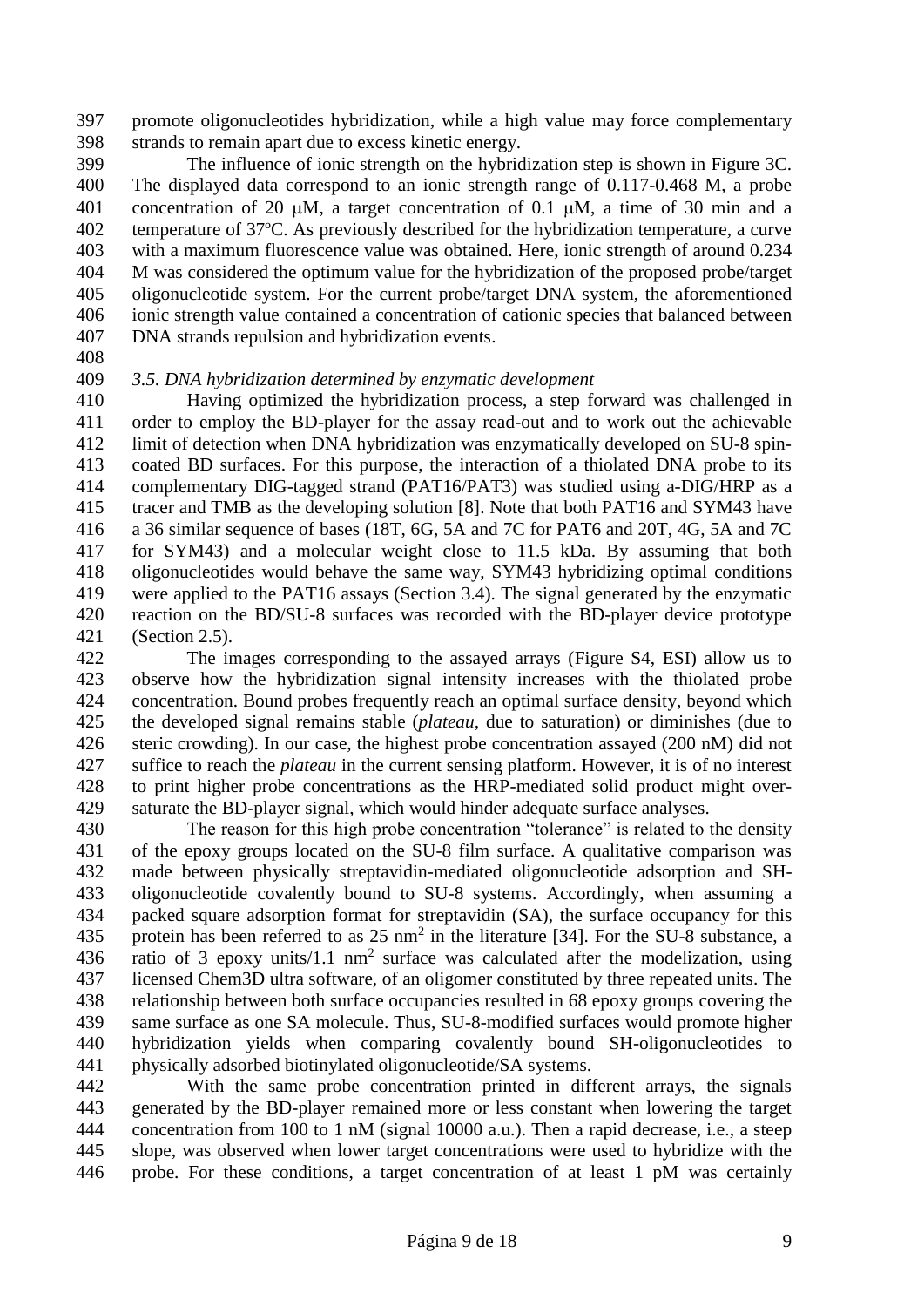promote oligonucleotides hybridization, while a high value may force complementary strands to remain apart due to excess kinetic energy.

 The influence of ionic strength on the hybridization step is shown in Figure 3C. The displayed data correspond to an ionic strength range of 0.117-0.468 M, a probe 401 concentration of 20  $\mu$ M, a target concentration of 0.1  $\mu$ M, a time of 30 min and a temperature of 37ºC. As previously described for the hybridization temperature, a curve with a maximum fluorescence value was obtained. Here, ionic strength of around 0.234 M was considered the optimum value for the hybridization of the proposed probe/target oligonucleotide system. For the current probe/target DNA system, the aforementioned ionic strength value contained a concentration of cationic species that balanced between DNA strands repulsion and hybridization events.

#### *3.5. DNA hybridization determined by enzymatic development*

 Having optimized the hybridization process, a step forward was challenged in order to employ the BD-player for the assay read-out and to work out the achievable limit of detection when DNA hybridization was enzymatically developed on SU-8 spin- coated BD surfaces. For this purpose, the interaction of a thiolated DNA probe to its complementary DIG-tagged strand (PAT16/PAT3) was studied using a-DIG/HRP as a tracer and TMB as the developing solution [8]. Note that both PAT16 and SYM43 have a 36 similar sequence of bases (18T, 6G, 5A and 7C for PAT6 and 20T, 4G, 5A and 7C for SYM43) and a molecular weight close to 11.5 kDa. By assuming that both oligonucleotides would behave the same way, SYM43 hybridizing optimal conditions were applied to the PAT16 assays (Section 3.4). The signal generated by the enzymatic reaction on the BD/SU-8 surfaces was recorded with the BD-player device prototype (Section 2.5).

 The images corresponding to the assayed arrays (Figure S4, ESI) allow us to observe how the hybridization signal intensity increases with the thiolated probe concentration. Bound probes frequently reach an optimal surface density, beyond which the developed signal remains stable (*plateau,* due to saturation) or diminishes (due to steric crowding). In our case, the highest probe concentration assayed (200 nM) did not suffice to reach the *plateau* in the current sensing platform. However, it is of no interest to print higher probe concentrations as the HRP-mediated solid product might over-saturate the BD-player signal, which would hinder adequate surface analyses.

 The reason for this high probe concentration "tolerance" is related to the density of the epoxy groups located on the SU-8 film surface. A qualitative comparison was made between physically streptavidin-mediated oligonucleotide adsorption and SH- oligonucleotide covalently bound to SU-8 systems. Accordingly, when assuming a packed square adsorption format for streptavidin (SA), the surface occupancy for this 435 protein has been referred to as  $25 \text{ nm}^2$  in the literature [34]. For the SU-8 substance, a 436 ratio of 3 epoxy units/1.1 nm<sup>2</sup> surface was calculated after the modelization, using licensed Chem3D ultra software, of an oligomer constituted by three repeated units. The relationship between both surface occupancies resulted in 68 epoxy groups covering the same surface as one SA molecule. Thus, SU-8-modified surfaces would promote higher hybridization yields when comparing covalently bound SH-oligonucleotides to physically adsorbed biotinylated oligonucleotide/SA systems.

 With the same probe concentration printed in different arrays, the signals generated by the BD-player remained more or less constant when lowering the target concentration from 100 to 1 nM (signal 10000 a.u.). Then a rapid decrease, i.e., a steep slope, was observed when lower target concentrations were used to hybridize with the probe. For these conditions, a target concentration of at least 1 pM was certainly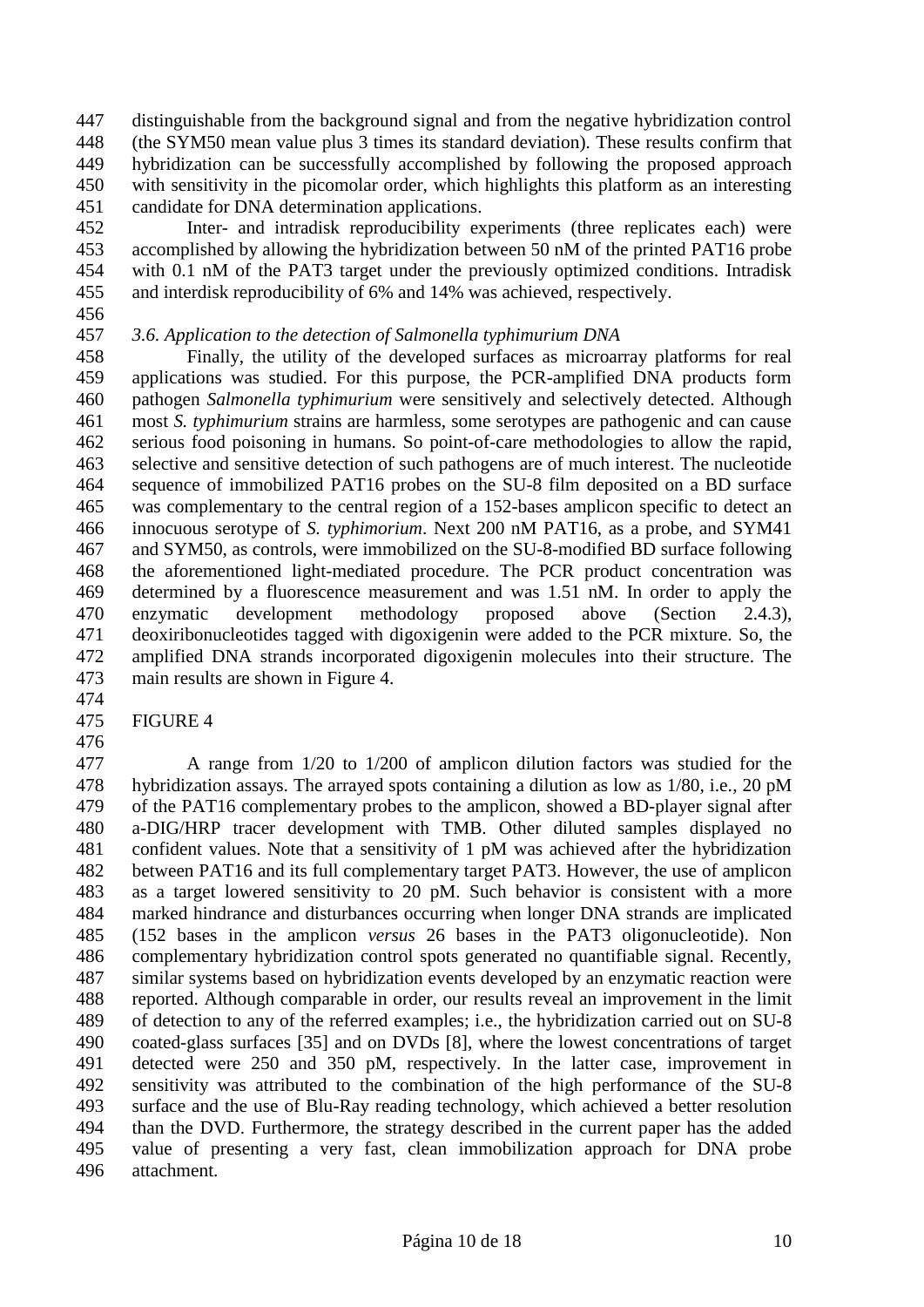distinguishable from the background signal and from the negative hybridization control (the SYM50 mean value plus 3 times its standard deviation). These results confirm that hybridization can be successfully accomplished by following the proposed approach with sensitivity in the picomolar order, which highlights this platform as an interesting candidate for DNA determination applications.

 Inter- and intradisk reproducibility experiments (three replicates each) were accomplished by allowing the hybridization between 50 nM of the printed PAT16 probe with 0.1 nM of the PAT3 target under the previously optimized conditions. Intradisk and interdisk reproducibility of 6% and 14% was achieved, respectively.

## *3.6. Application to the detection of Salmonella typhimurium DNA*

 Finally, the utility of the developed surfaces as microarray platforms for real applications was studied. For this purpose, the PCR-amplified DNA products form pathogen *Salmonella typhimurium* were sensitively and selectively detected. Although most *S. typhimurium* strains are harmless, some serotypes are pathogenic and can cause serious food poisoning in humans. So point-of-care methodologies to allow the rapid, selective and sensitive detection of such pathogens are of much interest. The nucleotide sequence of immobilized PAT16 probes on the SU-8 film deposited on a BD surface was complementary to the central region of a 152-bases amplicon specific to detect an innocuous serotype of *S. typhimorium*. Next 200 nM PAT16, as a probe, and SYM41 and SYM50, as controls, were immobilized on the SU-8-modified BD surface following the aforementioned light-mediated procedure. The PCR product concentration was determined by a fluorescence measurement and was 1.51 nM. In order to apply the enzymatic development methodology proposed above (Section 2.4.3), deoxiribonucleotides tagged with digoxigenin were added to the PCR mixture. So, the amplified DNA strands incorporated digoxigenin molecules into their structure. The main results are shown in Figure 4.

FIGURE 4

 A range from 1/20 to 1/200 of amplicon dilution factors was studied for the hybridization assays. The arrayed spots containing a dilution as low as 1/80, i.e., 20 pM of the PAT16 complementary probes to the amplicon, showed a BD-player signal after a-DIG/HRP tracer development with TMB. Other diluted samples displayed no confident values. Note that a sensitivity of 1 pM was achieved after the hybridization between PAT16 and its full complementary target PAT3. However, the use of amplicon as a target lowered sensitivity to 20 pM. Such behavior is consistent with a more marked hindrance and disturbances occurring when longer DNA strands are implicated (152 bases in the amplicon *versus* 26 bases in the PAT3 oligonucleotide). Non complementary hybridization control spots generated no quantifiable signal. Recently, similar systems based on hybridization events developed by an enzymatic reaction were reported. Although comparable in order, our results reveal an improvement in the limit of detection to any of the referred examples; i.e., the hybridization carried out on SU-8 coated-glass surfaces [35] and on DVDs [8], where the lowest concentrations of target detected were 250 and 350 pM, respectively. In the latter case, improvement in sensitivity was attributed to the combination of the high performance of the SU-8 surface and the use of Blu-Ray reading technology, which achieved a better resolution than the DVD. Furthermore, the strategy described in the current paper has the added value of presenting a very fast, clean immobilization approach for DNA probe attachment.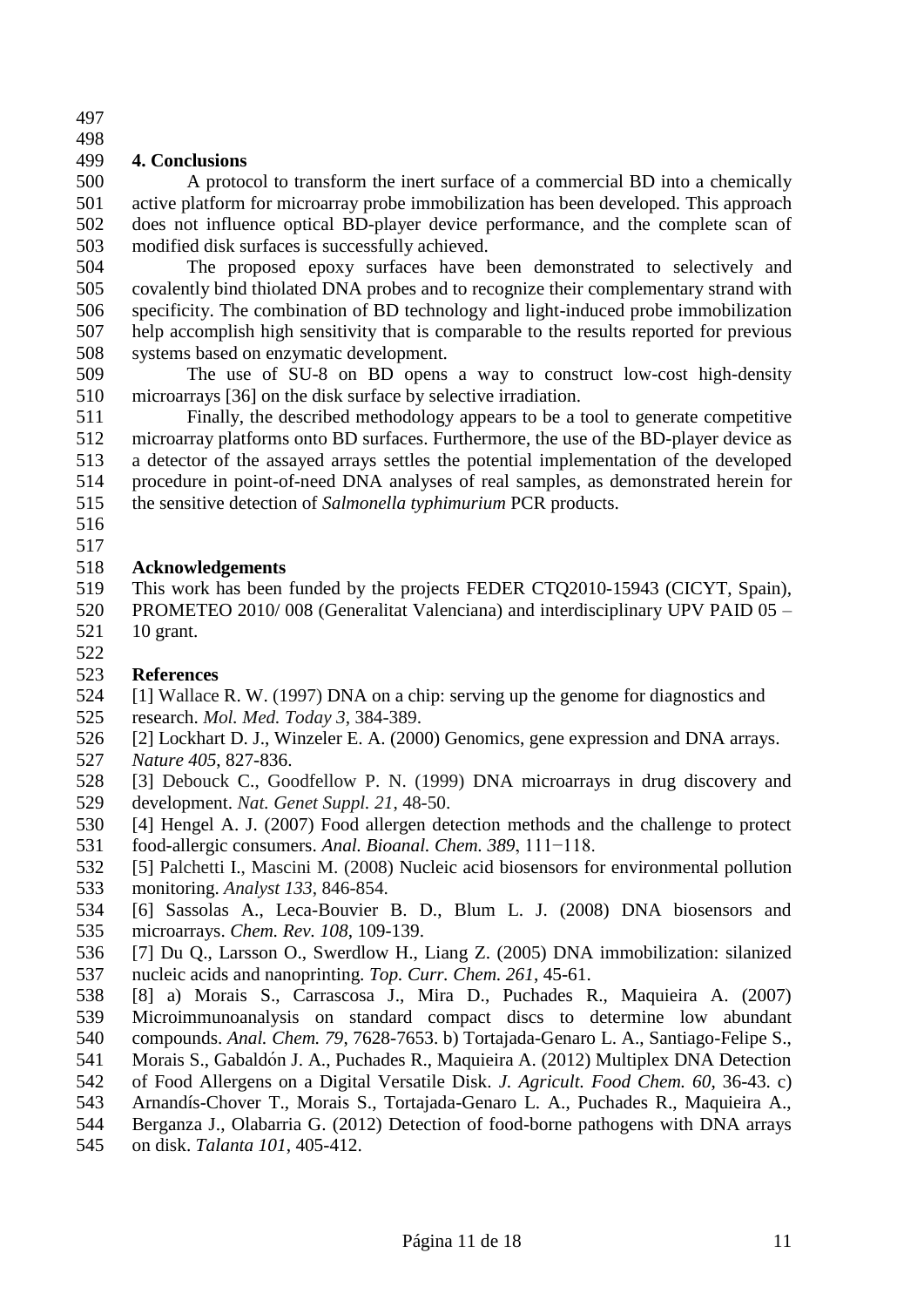#### 

## **4. Conclusions**

 A protocol to transform the inert surface of a commercial BD into a chemically active platform for microarray probe immobilization has been developed. This approach does not influence optical BD-player device performance, and the complete scan of modified disk surfaces is successfully achieved.

 The proposed epoxy surfaces have been demonstrated to selectively and covalently bind thiolated DNA probes and to recognize their complementary strand with specificity. The combination of BD technology and light-induced probe immobilization help accomplish high sensitivity that is comparable to the results reported for previous systems based on enzymatic development.

 The use of SU-8 on BD opens a way to construct low-cost high-density microarrays [36] on the disk surface by selective irradiation.

 Finally, the described methodology appears to be a tool to generate competitive microarray platforms onto BD surfaces. Furthermore, the use of the BD-player device as a detector of the assayed arrays settles the potential implementation of the developed procedure in point-of-need DNA analyses of real samples, as demonstrated herein for the sensitive detection of *Salmonella typhimurium* PCR products.

 

## **Acknowledgements**

 This work has been funded by the projects FEDER CTQ2010-15943 (CICYT, Spain), PROMETEO 2010/ 008 (Generalitat Valenciana) and interdisciplinary UPV PAID 05 – 10 grant.

- **References**
- [1] Wallace R. W. (1997) DNA on a chip: serving up the genome for diagnostics and research. *Mol. Med. Today 3*, 384-389.
- [2] Lockhart D. J., Winzeler E. A. (2000) Genomics, gene expression and DNA arrays. *Nature 405*, 827-836.
- [3] Debouck C., Goodfellow P. N. (1999) [DNA microarrays in drug discovery and](http://www.cmbi.ru.nl/edu/bioinf4/articles/Goodfellow.pdf)  [development.](http://www.cmbi.ru.nl/edu/bioinf4/articles/Goodfellow.pdf) *Nat. Genet Suppl. 21*, 48-50.
- [4] Hengel A. J. (2007) Food allergen detection methods and the challenge to protect food-allergic consumers. *Anal. Bioanal. Chem. 389*, 111−118.
- [5] Palchetti I., Mascini M. (2008) [Nucleic acid biosensors for environmental pollution](http://www.ncbi.nlm.nih.gov/pubmed/18575633)  [monitoring.](http://www.ncbi.nlm.nih.gov/pubmed/18575633) *Analyst 133*, 846-854.
- [6] Sassolas A., Leca-Bouvier B. D., Blum L. J. (2008) DNA biosensors and microarrays. *Chem. Rev. 108*, 109-139.
- [7] Du Q., Larsson O., Swerdlow H., Liang Z. (2005) DNA immobilization: silanized nucleic acids and nanoprinting. *Top. Curr. Chem. 261*, 45-61.
- [8] a) Morais S., Carrascosa J., Mira D., Puchades R., Maquieira A. (2007) Microimmunoanalysis on standard compact discs to determine low abundant
- compounds. *Anal. Chem. 79*, 7628-7653. b) Tortajada-Genaro L. A., Santiago-Felipe S.,
- 541 Morais S., Gabaldón J. A., Puchades R., Maquieira A. (2012) Multiplex DNA Detection<br>542 of Food Allergens on a Digital Versatile Disk. *J. Agricult. Food Chem.* 60, 36-43, c)
- of Food Allergens on a Digital Versatile Disk. *J. Agricult. Food Chem. 60*, 36-43. c)
- Arnandís-Chover T., Morais S., Tortajada-Genaro L. A., Puchades R., Maquieira A.,
- Berganza J., Olabarria G. (2012) Detection of food-borne pathogens with DNA arrays on disk. *Talanta 101*, 405-412.
	- Página 11 de 18 11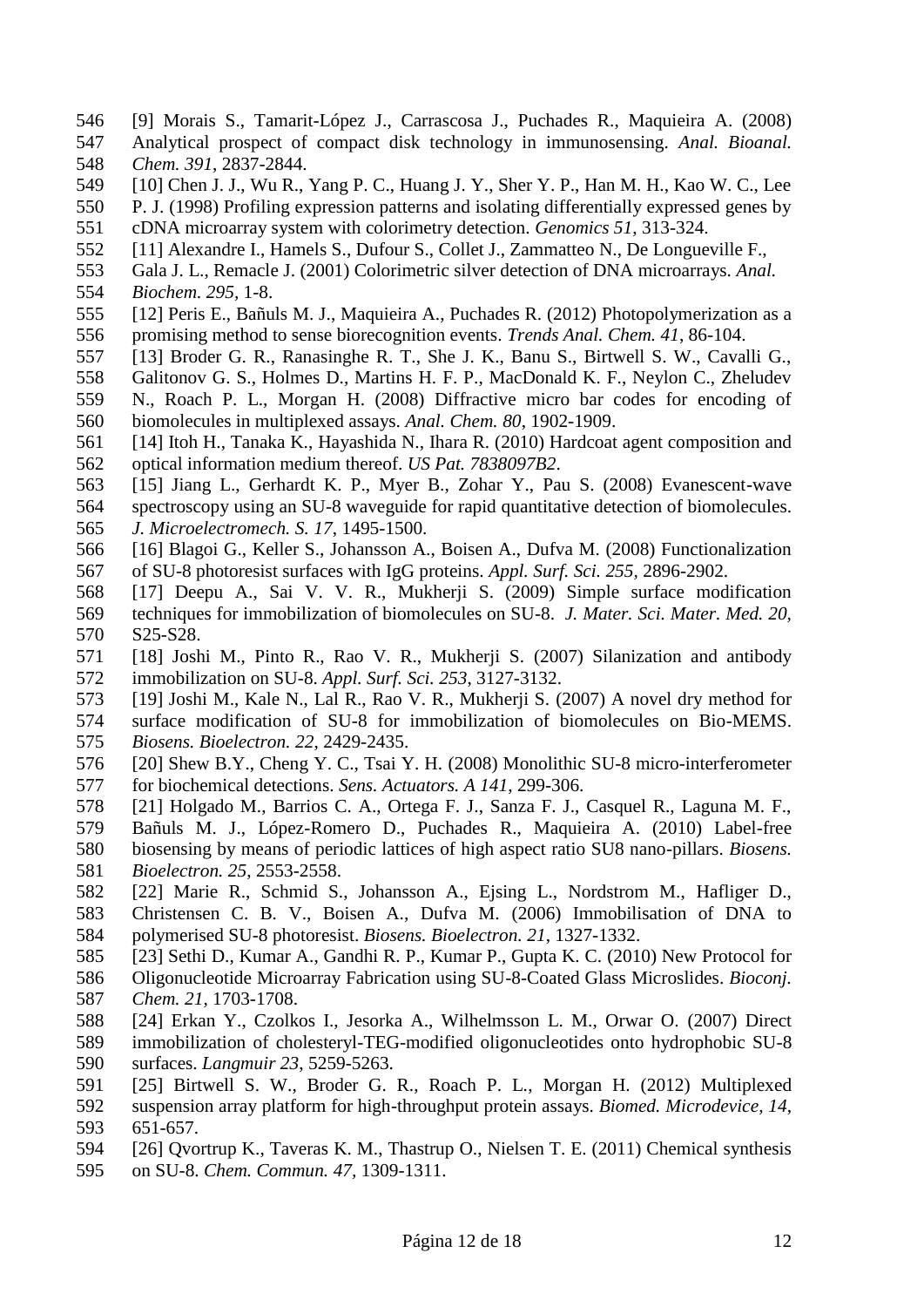- [9] Morais S., Tamarit-López J., Carrascosa J., Puchades R., Maquieira A. (2008) Analytical prospect of compact disk technology in immunosensing. *Anal. Bioanal. Chem. 391*, 2837-2844.
- [10] Chen J. J., Wu R., Yang P. C., Huang J. Y., Sher Y. P., Han M. H., Kao W. C., Lee
- P. J. (1998) Profiling expression patterns and isolating differentially expressed genes by
- cDNA microarray system with colorimetry detection. *Genomics 51*, 313-324.
- [11] Alexandre I., Hamels S., Dufour S., Collet J., Zammatteo N., De Longueville F.,
- Gala J. L., Remacle J. (2001) Colorimetric silver detection of DNA microarrays. *Anal.*
- *Biochem. 295,* 1-8.
- [12] Peris E., Bañuls M. J., Maquieira A., Puchades R. (2012) [Photopolymerization as a](http://www.citeulike.org/article/11464663)  [promising method to sense biorecognition events.](http://www.citeulike.org/article/11464663) *Trends Anal. Chem. 41*, 86-104.
- [13] Broder G. R., Ranasinghe R. T., She J. K., Banu S., Birtwell S. W., Cavalli G.,
- Galitonov G. S., Holmes D., Martins H. F. P., MacDonald K. F., Neylon C., Zheludev
- N., Roach P. L., Morgan H. (2008) Diffractive micro bar codes for encoding of biomolecules in multiplexed assays. *Anal. Chem. 80*, 1902-1909.
- [14] Itoh H., Tanaka K., Hayashida N., Ihara R. (2010) Hardcoat agent composition and optical information medium thereof. *US Pat. 7838097B2*.
- [15] Jiang L., Gerhardt K. P., Myer B., Zohar Y., Pau S. (2008) Evanescent-wave
- spectroscopy using an SU-8 waveguide for rapid quantitative detection of biomolecules. *J. Microelectromech. S. 17*, 1495-1500.
- [16] Blagoi G., Keller S., Johansson A., Boisen A., Dufva M. (2008) Functionalization of SU-8 photoresist surfaces with IgG proteins. *Appl. Surf. Sci. 255,* 2896-2902.
- [17] Deepu A., Sai V. V. R., Mukherji S. (2009) Simple surface modification techniques for immobilization of biomolecules on SU-8. *J. Mater. Sci. Mater. Med. 20,* S25-S28.
- [18] Joshi M., Pinto R., Rao V. R., Mukherji S. (2007) Silanization and antibody immobilization on SU-8. *Appl. Surf. Sci. 253*, 3127-3132.
- [19] Joshi M., Kale N., Lal R., Rao V. R., Mukherji S. (2007) A novel dry method for
- surface modification of SU-8 for immobilization of biomolecules on Bio-MEMS. *Biosens. Bioelectron. 22*, 2429-2435.
- [20] Shew B.Y., Cheng Y. C., Tsai Y. H. (2008) Monolithic SU-8 micro-interferometer for biochemical detections. *Sens. Actuators. A 141*, 299-306.
- [21] Holgado M., Barrios C. A., Ortega F. J., Sanza F. J., Casquel R., Laguna M. F.,
- Bañuls M. J., López-Romero D., Puchades R., Maquieira A. (2010) Label-free biosensing by means of periodic lattices of high aspect ratio SU8 nano-pillars. *Biosens. Bioelectron. 25*, 2553-2558.
- [22] Marie R., Schmid S., Johansson A., Ejsing L., Nordstrom M., Hafliger D., Christensen C. B. V., Boisen A., Dufva M. (2006) Immobilisation of DNA to
- polymerised SU-8 photoresist. *Biosens. Bioelectron. 21*, 1327-1332. [23] Sethi D., Kumar A., Gandhi R. P., Kumar P., Gupta K. C. (2010) [New Protocol for](http://pubs.acs.org/doi/abs/10.1021/bc100262n?prevSearch=Sethi&searchHistoryKey=)
- [Oligonucleotide Microarray Fabrication using SU-8-Coated Glass Microslides.](http://pubs.acs.org/doi/abs/10.1021/bc100262n?prevSearch=Sethi&searchHistoryKey=) *Bioconj. Chem. 21,* 1703-1708.
- [24] Erkan Y., Czolkos I., Jesorka A., Wilhelmsson L. M., Orwar O. (2007) Direct immobilization of cholesteryl-TEG-modified oligonucleotides onto hydrophobic SU-8
- surfaces. *Langmuir 23*, 5259-5263.
- [25] Birtwell S. W., Broder G. R., Roach P. L., Morgan H. (2012) Multiplexed
- suspension array platform for high-throughput protein assays. *Biomed. Microdevice, 14*, 651-657.
- [26] Qvortrup K., Taveras K. M., Thastrup O., Nielsen T. E. (2011) Chemical synthesis
- on SU-8. *Chem. Commun. 47,* 1309-1311.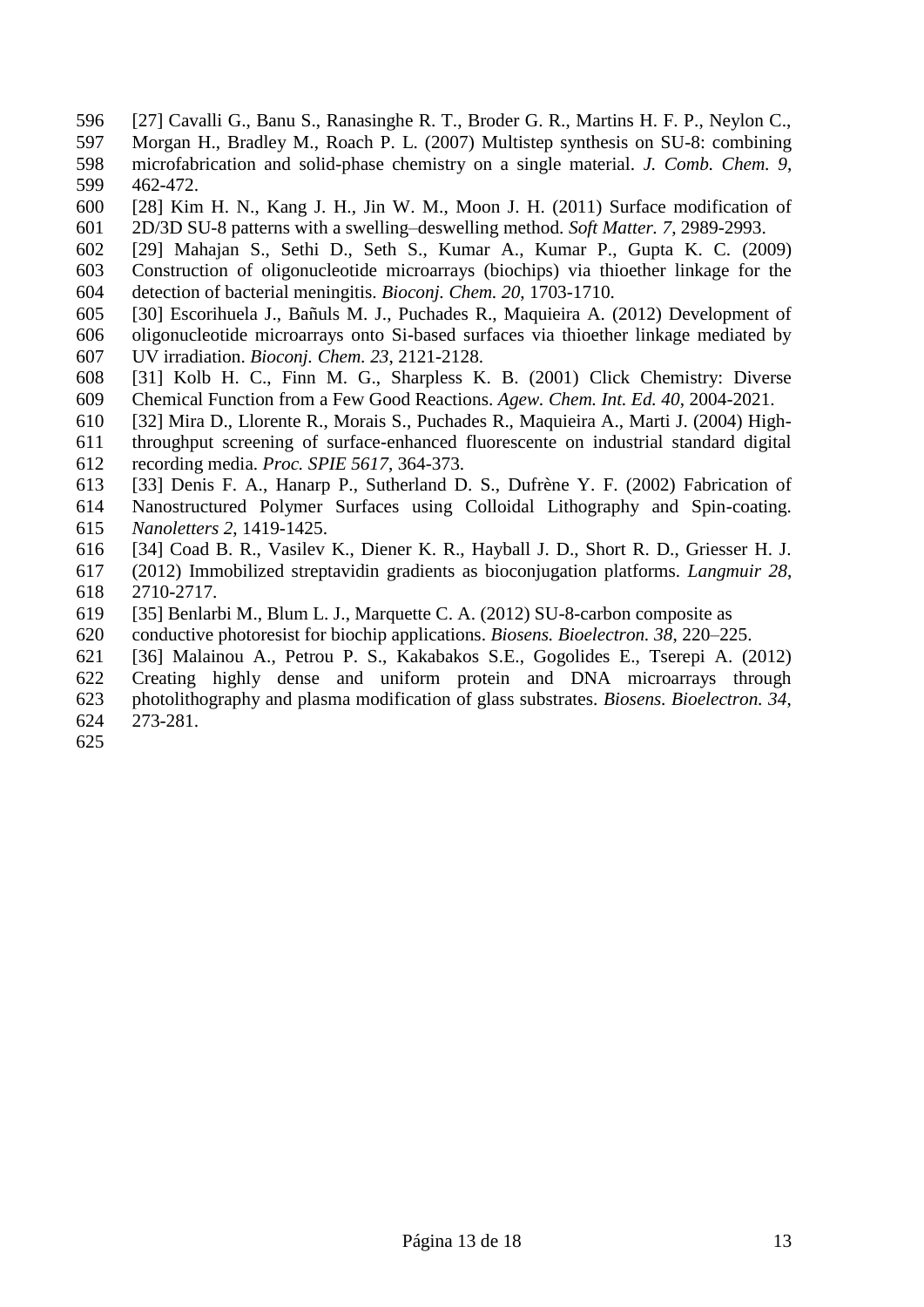- [27] Cavalli G., Banu S., Ranasinghe R. T., Broder G. R., Martins H. F. P., Neylon C.,
- Morgan H., Bradley M., Roach P. L. (2007) Multistep synthesis on SU-8: combining microfabrication and solid-phase chemistry on a single material. *J. Comb. Chem. 9*, 462-472.
- [28] Kim H. N., Kang J. H., Jin W. M., Moon J. H. (2011) Surface modification of 2D/3D SU-8 patterns with a swelling–deswelling method. *Soft Matter. 7*, 2989-2993.
- 
- [29] Mahajan S., Sethi D., Seth S., Kumar A., Kumar P., Gupta K. C. (2009) Construction of oligonucleotide microarrays (biochips) via thioether linkage for the detection of bacterial meningitis. *Bioconj. Chem. 20*, 1703-1710.
- [30] Escorihuela J., Bañuls M. J., Puchades R., Maquieira A. (2012) Development of oligonucleotide microarrays onto Si-based surfaces via thioether linkage mediated by UV irradiation. *Bioconj. Chem. 23*, 2121-2128.
- [31] Kolb H. C., Finn M. G., Sharpless K. B. (2001) Click Chemistry: Diverse Chemical Function from a Few Good Reactions. *Agew. Chem. Int. Ed. 40*, 2004-2021.
- [32] Mira D., Llorente R., Morais S., Puchades R., Maquieira A., Marti J. (2004) High-
- throughput screening of surface-enhanced fluorescente on industrial standard digital
- recording media. *Proc. SPIE 5617*, 364-373.
- [33] Denis F. A., Hanarp P., Sutherland D. S., Dufrène Y. F. (2002) Fabrication of
- Nanostructured Polymer Surfaces using Colloidal Lithography and Spin-coating.
- *Nanoletters 2*, 1419-1425.
- [34] Coad B. R., Vasilev K., Diener K. R., Hayball J. D., Short R. D., Griesser H. J.
- (2012) Immobilized streptavidin gradients as bioconjugation platforms. *Langmuir 28*, 2710-2717.
- [35] Benlarbi M., Blum L. J., Marquette C. A. (2012) SU-8-carbon composite as
- conductive photoresist for biochip applications. *Biosens. Bioelectron. 38*, 220–225.
- [36] Malainou A., Petrou P. S., Kakabakos S.E., Gogolides E., Tserepi A. (2012)
- Creating highly dense and uniform protein and DNA microarrays through
- photolithography and plasma modification of glass substrates. *Biosens. Bioelectron. 34*, 273-281.
-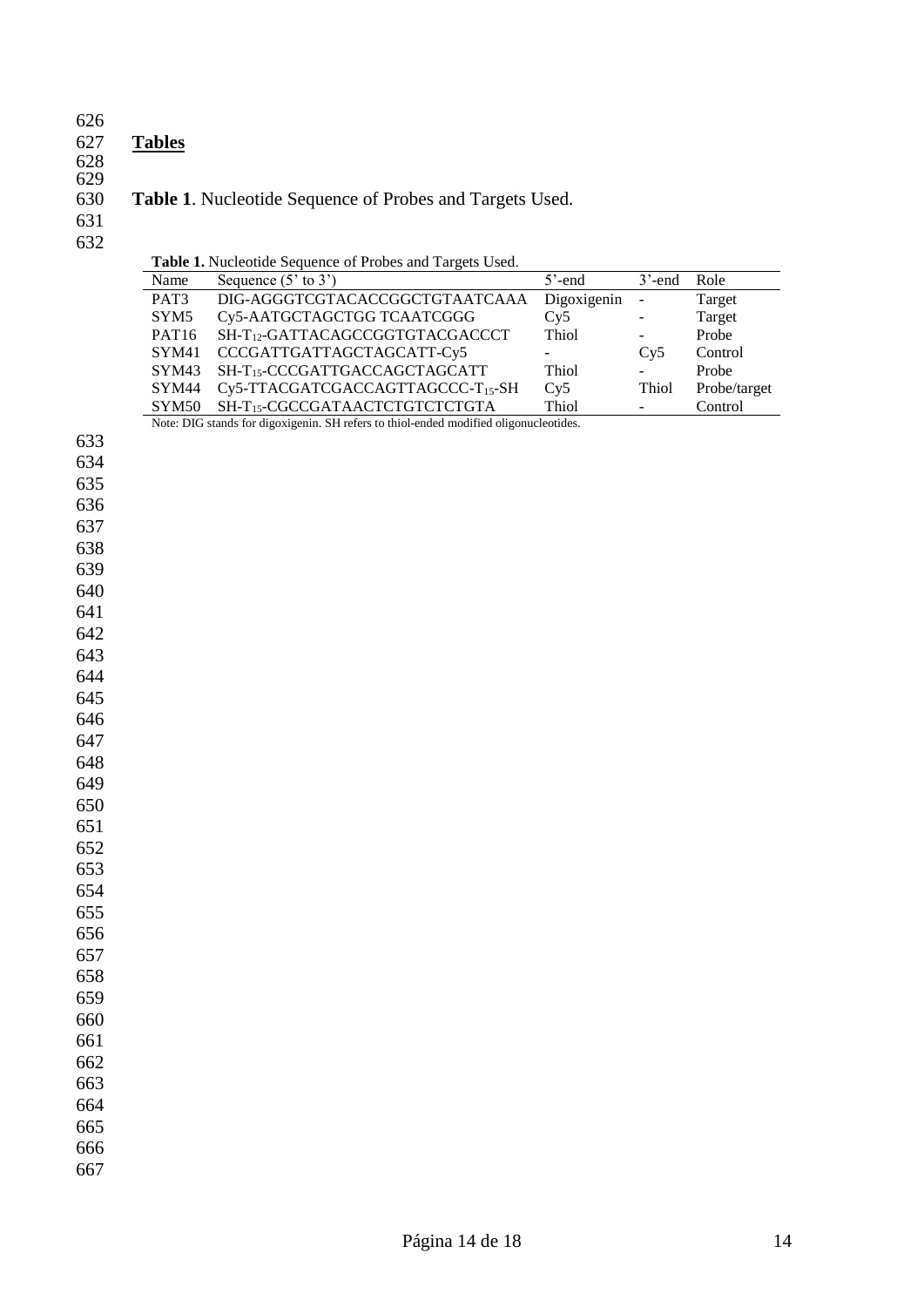#### **Tables**

## 

# **Table 1**. Nucleotide Sequence of Probes and Targets Used.

 

| Name              | Sequence $(5'$ to $3')$                     | $5'$ -end     | $3'$ -end                | Role         |
|-------------------|---------------------------------------------|---------------|--------------------------|--------------|
| PAT <sub>3</sub>  | DIG-AGGGTCGTACACCGGCTGTAATCAAA              | Digoxigenin - |                          | Target       |
| SYM <sub>5</sub>  | Cy5-AATGCTAGCTGG TCAATCGGG                  | Cv5           | $\overline{\phantom{a}}$ | Target       |
| PAT <sub>16</sub> | SH-T <sub>12</sub> -GATTACAGCCGGTGTACGACCCT | Thiol         | $\overline{\phantom{a}}$ | Probe        |
| SYM <sub>41</sub> | CCCGATTGATTAGCTAGCATT-Cy5                   |               | Cv5                      | Control      |
| SYM43             | SH-T15-CCCGATTGACCAGCTAGCATT                | Thiol         |                          | Probe        |
| SYM <sub>44</sub> | $Cy5-TTACGATCGACCAGTTAGCCC-T15-SH$          | Cv5           | Thiol                    | Probe/target |
| SYM50             | SH-T <sub>15</sub> -CGCCGATAACTCTGTCTCTGTA  | Thiol         |                          | Control      |

Note: DIG stands for digoxigenin. SH refers to thiol-ended modified oligonucleotides.

| 633 |
|-----|
| 634 |
| 635 |
| 636 |
| 637 |
| 00  |

## 

- 
- 
- 
- 
- 
- 
- 
- 
- 
- 
- 
- 

- 
- 
- 
- 
- 
- 
- 
- 
- 
- 
- 
- 
-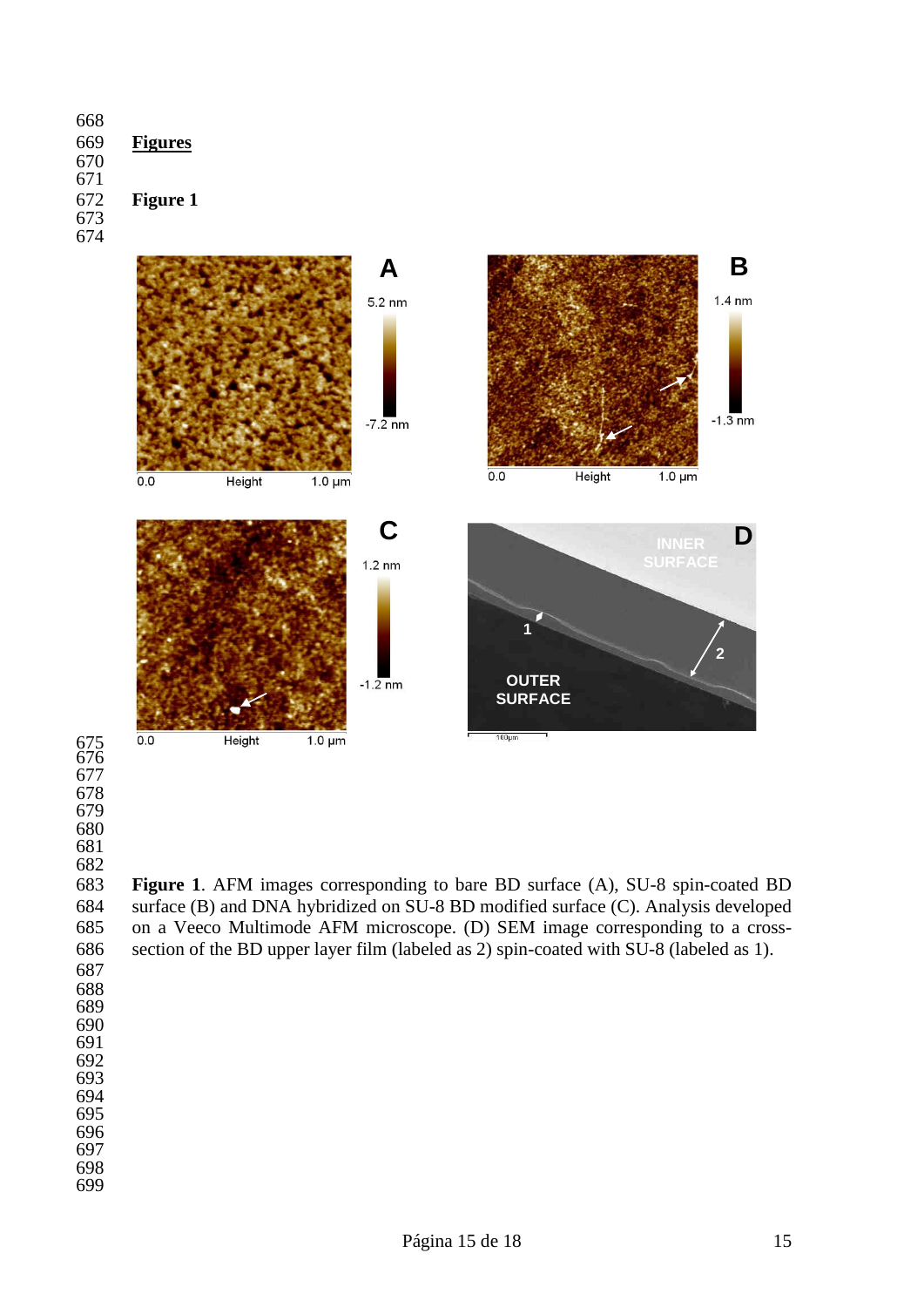

 

 **Figure 1**. AFM images corresponding to bare BD surface (A), SU-8 spin-coated BD 684 surface (B) and DNA hybridized on SU-8 BD modified surface (C). Analysis developed<br>685 on a Veeco Multimode AFM microscope. (D) SEM image corresponding to a crosson a Veeco Multimode AFM microscope. (D) SEM image corresponding to a cross-section of the BD upper layer film (labeled as 2) spin-coated with SU-8 (labeled as 1).

- 
- 
- 
- 
- 
- 
- 
- 
-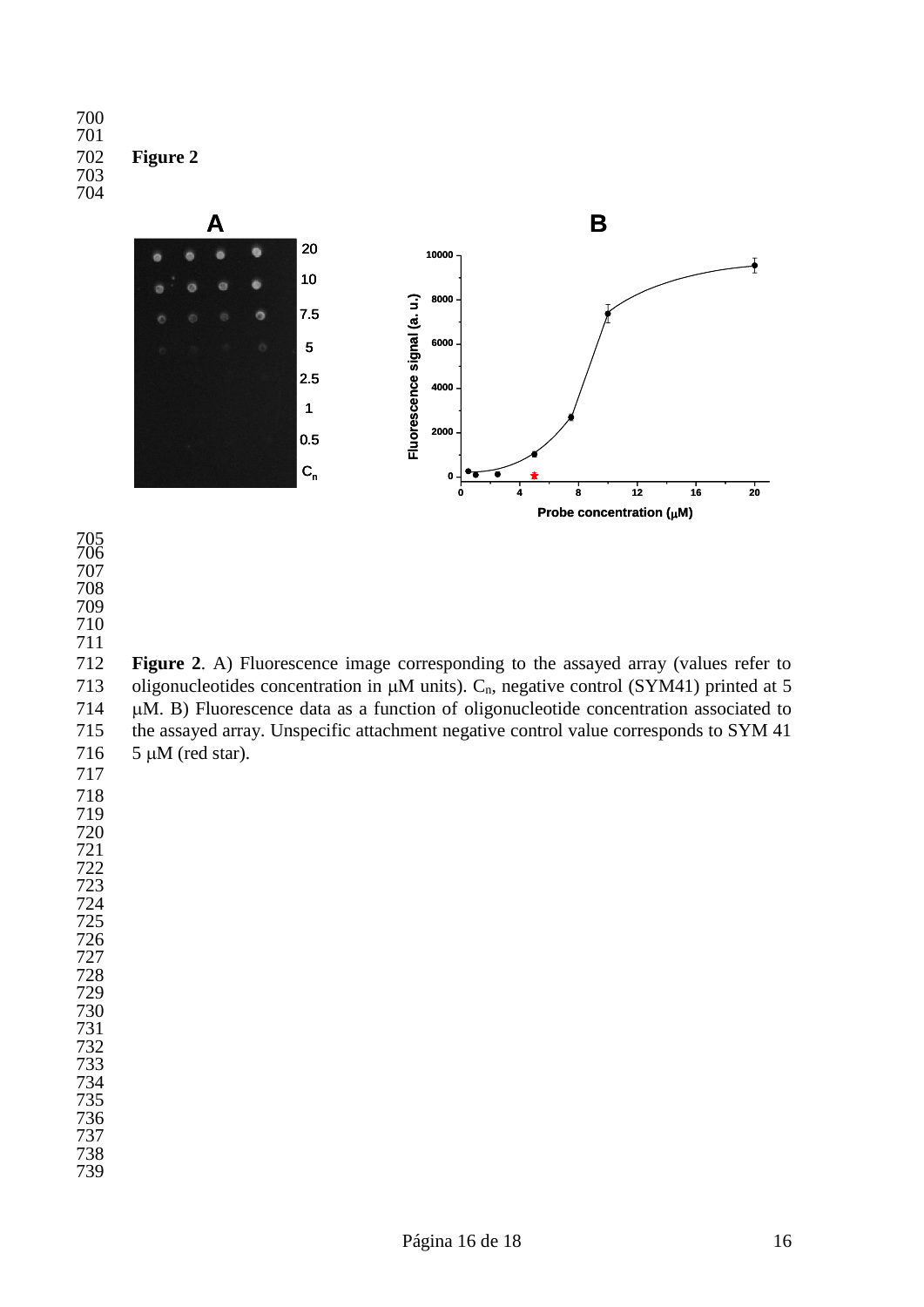



 

 

 **Figure 2**. A) Fluorescence image corresponding to the assayed array (values refer to 713 oligonucleotides concentration in  $\mu$ M units). C<sub>n</sub>, negative control (SYM41) printed at 5 714 µM. B) Fluorescence data as a function of oligonucleotide concentration associated to the assayed array. Unspecific attachment negative control value corresponds to SYM 41 716  $5 \mu M$  (red star). 

 

 

- 
-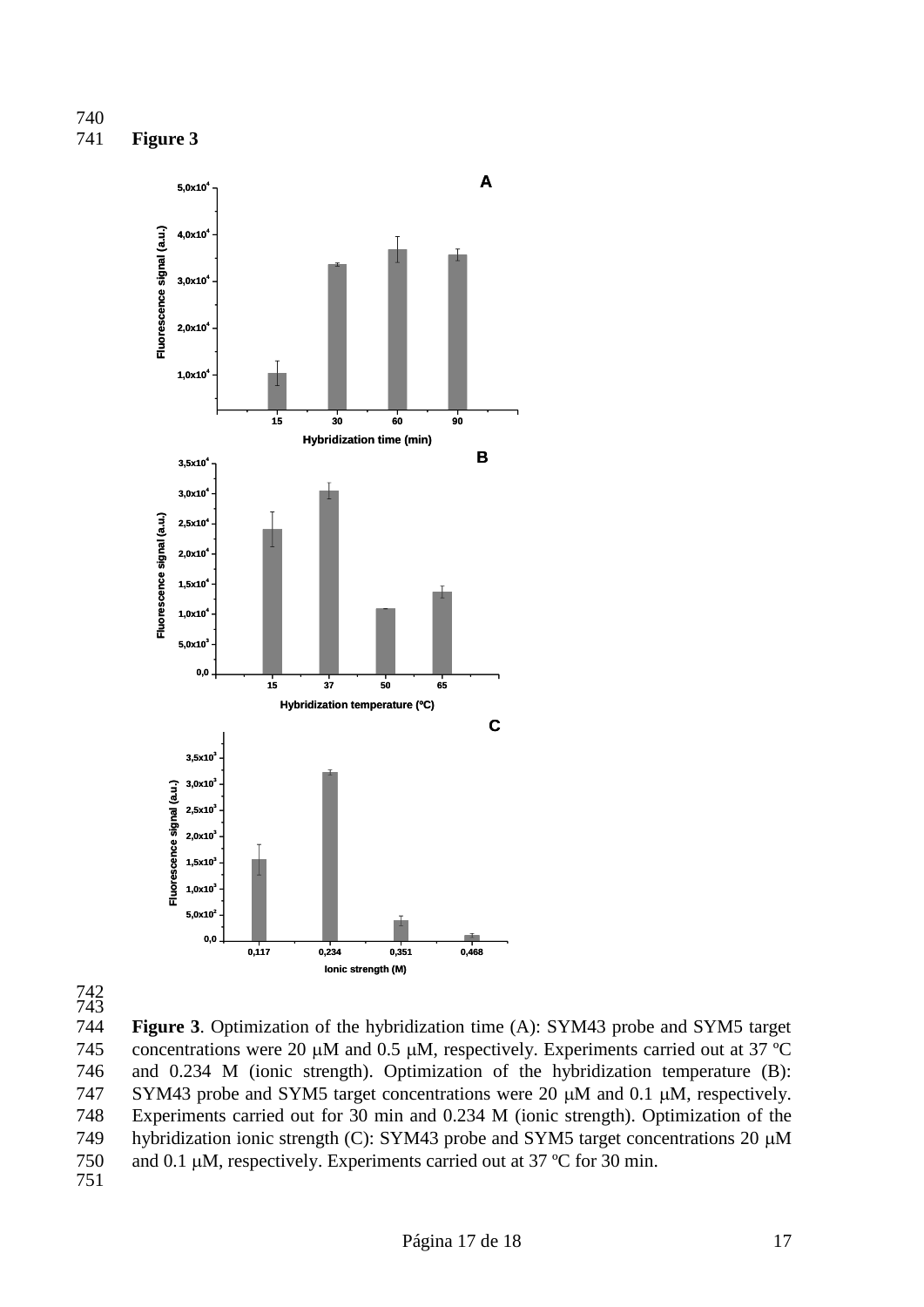





744 **Figure 3**. Optimization of the hybridization time (A): SYM43 probe and SYM5 target 745 concentrations were 20  $\mu$ M and 0.5  $\mu$ M, respectively. Experiments carried out at 37 °C 746 and 0.234 M (ionic strength). Optimization of the hybridization temperature (B): 747 SYM43 probe and SYM5 target concentrations were 20  $\mu$ M and 0.1  $\mu$ M, respectively. 748 Experiments carried out for 30 min and 0.234 M (ionic strength). Optimization of the 749 hybridization ionic strength (C): SYM43 probe and SYM5 target concentrations 20  $\mu$ M 750 and 0.1  $\mu$ M, respectively. Experiments carried out at 37 °C for 30 min. 751